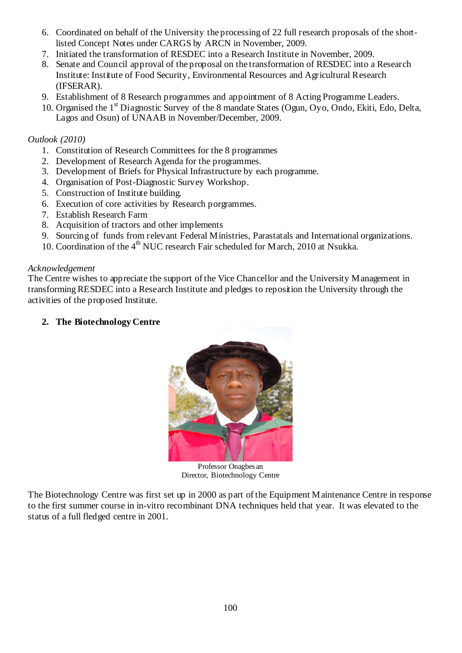- 6. Coordinated on behalf of the University the processing of 22 full research proposals of the shortlisted Concept Notes under CARGS by ARCN in November, 2009.
- 7. Initiated the transformation of RESDEC into a Research Institute in November, 2009.
- 8. Senate and Council approval of the proposal on the transformation of RESDEC into a Research Institute: Institute of Food Security, Environmental Resources and Agricultural Research (IFSERAR).
- 9. Establishment of 8 Research programmes and appointment of 8 Acting Programme Leaders.
- 10. Organised the 1<sup>st</sup> Diagnostic Survey of the 8 mandate States (Ogun, Ovo, Ondo, Ekiti, Edo, Delta, Lagos and Osun) of UNAAB in November/December, 2009.

# *Outlook (2010)*

- 1. Constitution of Research Committees for the 8 programmes
- 2. Development of Research Agenda for the programmes.
- 3. Development of Briefs for Physical Infrastructure by each programme.
- 4. Organisation of Post-Diagnostic Survey Workshop.
- 5. Construction of Institute building.
- 6. Execution of core activities by Research porgrammes.
- 7. Establish Research Farm
- 8. Acquisition of tractors and other implements
- 9. Sourcing of funds from relevant Federal Ministries, Parastatals and International organizations.
- 10. Coordination of the  $4<sup>th</sup>$  NUC research Fair scheduled for March, 2010 at Nsukka.

### *Acknowledgement*

The Centre wishes to appreciate the support of the Vice Chancellor and the University Management in transforming RESDEC into a Research Institute and pledges to reposition the University through the activities of the proposed Institute.

# **2. The Biotechnology Centre**



Professor Onagbesan Director, Biotechnology Centre

The Biotechnology Centre was first set up in 2000 as part of the Equipment Maintenance Centre in response to the first summer course in in-vitro recombinant DNA techniques held that year. It was elevated to the status of a full fledged centre in 2001.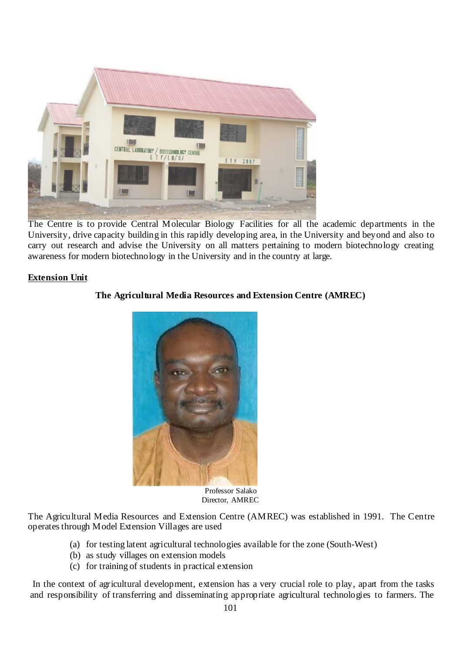

The Centre is to provide Central Molecular Biology Facilities for all the academic departments in the University, drive capacity building in this rapidly developing area, in the University and beyond and also to carry out research and advise the University on all matters pertaining to modern biotechnology creating awareness for modern biotechnology in the University and in the country at large.

# **Extension Unit**

# **The Agricultural Media Resources and Extension Centre (AMREC)**



 Professor Salako Director, AMREC

The Agricultural Media Resources and Extension Centre (AMREC) was established in 1991. The Centre operates through Model Extension Villages are used

- (a) for testing latent agricultural technologies available for the zone (South-West)
- (b) as study villages on extension models
- (c) for training of students in practical extension

 In the context of agricultural development, extension has a very crucial role to play, apart from the tasks and responsibility of transferring and disseminating appropriate agricultural technologies to farmers. The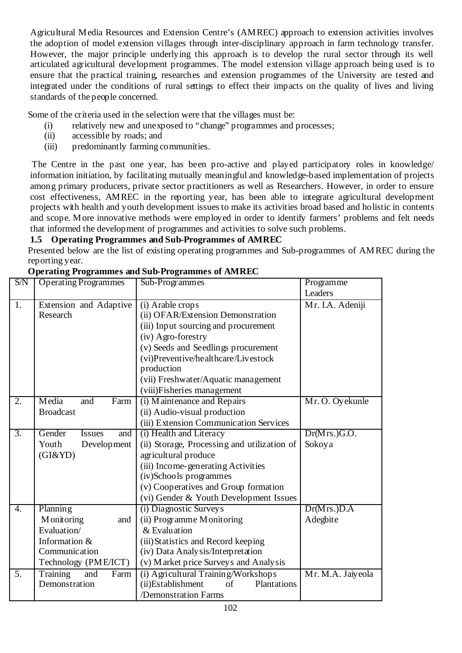Agricultural Media Resources and Extension Centre's (AMREC) approach to extension activities involves the adoption of model extension villages through inter-disciplinary approach in farm technology transfer. However, the major principle underlying this approach is to develop the rural sector through its well articulated agricultural development programmes. The model extension village approach being used is to ensure that the practical training, researches and extension programmes of the University are tested and integrated under the conditions of rural settings to effect their impacts on the quality of lives and living standards of the people concerned.

Some of the criteria used in the selection were that the villages must be:

- (i) relatively new and unexposed to "change" programmes and processes;
- (ii) accessible by roads; and
- (iii) predominantly farming communities.

The Centre in the past one year, has been pro-active and played participatory roles in knowledge/ information initiation, by facilitating mutually meaningful and knowledge-based implementation of projects among primary producers, private sector practitioners as well as Researchers. However, in order to ensure cost effectiveness, AMREC in the reporting year, has been able to integrate agricultural development projects with health and youth development issues to make its activities broad based and holistic in contents and scope. More innovative methods were employed in order to identify farmers' problems and felt needs that informed the development of programmes and activities to solve such problems.

# **1.5 Operating Programmes and Sub-Programmes of AMREC**

Presented below are the list of existing operating programmes and Sub-programmes of AMREC during the reporting year.

| S/N              | <b>Operating Programmes</b>                                                                            | Sub-Programmes                                                                                                                                                                                                                                                                       | Programme                           |
|------------------|--------------------------------------------------------------------------------------------------------|--------------------------------------------------------------------------------------------------------------------------------------------------------------------------------------------------------------------------------------------------------------------------------------|-------------------------------------|
|                  |                                                                                                        |                                                                                                                                                                                                                                                                                      | Leaders                             |
| 1.               | Extension and Adaptive<br>Research                                                                     | (i) Arable crops<br>(ii) OFAR/Extension Demonstration<br>(iii) Input sourcing and procurement<br>(iv) Agro-forestry<br>(v) Seeds and Seedlings procurement<br>(vi)Preventive/healthcare/Livestock<br>production<br>(vii) Freshwater/Aquatic management<br>(viii)Fisheries management | Mr. I.A. Adeniji                    |
| 2.               | Media<br>and<br>Farm<br><b>Broadcast</b>                                                               | (i) Maintenance and Repairs<br>(ii) Audio-visual production<br>(iii) Extension Communication Services                                                                                                                                                                                | Mr. O. Oyekunle                     |
| $\overline{3}$ . | Gender<br><b>Issues</b><br>and<br>Development<br>Youth<br>$(GI\&YD)$                                   | (i) Health and Literacy<br>(ii) Storage, Processing and utilization of<br>agricultural produce<br>(iii) Income-generating Activities<br>(iv)Schools programmes<br>(v) Cooperatives and Group formation<br>(vi) Gender & Youth Development Issues                                     | Dr(Mrs.)G.O.<br>Sokoya              |
| 4.               | Planning<br>Monitoring<br>and<br>Evaluation/<br>Information &<br>Communication<br>Technology (PME/ICT) | (i) Diagnostic Surveys<br>(ii) Programme Monitoring<br>& Evaluation<br>(iii) Statistics and Record keeping<br>(iv) Data Analysis/Interpretation<br>(v) Market price Surveys and Analysis                                                                                             | Dr(Mrs.) <sub>D.A</sub><br>Adegbite |
| $\overline{5}$ . | Training<br>and<br>Farm<br>Demonstration                                                               | (i) Agricultural Training/Workshops<br>(ii)Establishment<br>of<br>Plantations<br>/Demonstration Farms                                                                                                                                                                                | Mr. M.A. Jaiyeola                   |

# **Operating Programmes and Sub-Programmes of AMREC**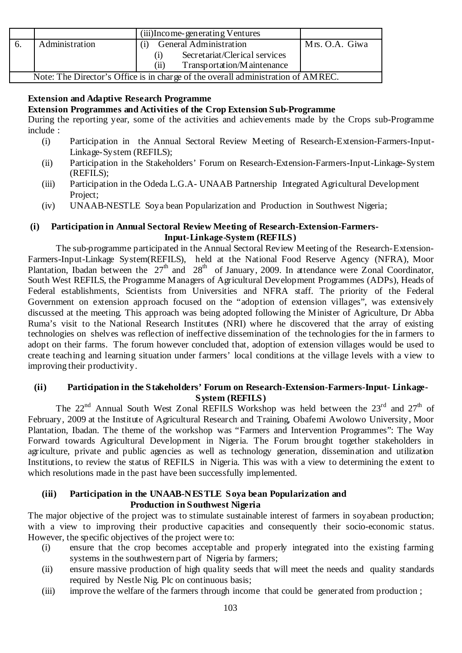|                                                                                  | (iii) Income-generating Ventures     |                |  |  |
|----------------------------------------------------------------------------------|--------------------------------------|----------------|--|--|
| Administration                                                                   | <b>General Administration</b>        | Mrs. O.A. Giwa |  |  |
|                                                                                  | Secretariat/Clerical services<br>(1) |                |  |  |
|                                                                                  | Transportation/Maintenance<br>(11)   |                |  |  |
| Note: The Director's Office is in charge of the overall administration of AMREC. |                                      |                |  |  |

# **Extension and Adaptive Research Programme**

### **Extension Programmes and Activities of the Crop Extension Sub-Programme**

During the reporting year, some of the activities and achievements made by the Crops sub-Programme include :

- (i) Participation in the Annual Sectoral Review Meeting of Research-Extension-Farmers-Input-Linkage-System (REFILS);
- (ii) Participation in the Stakeholders' Forum on Research-Extension-Farmers-Input-Linkage-System (REFILS);
- (iii) Participation in the Odeda L.G.A- UNAAB Partnership Integrated Agricultural Development Project:
- (iv) UNAAB-NESTLE Soya bean Popularization and Production in Southwest Nigeria;

### **(i) Participation in Annual Sectoral Review Meeting of Research-Extension-Farmers-Input-Linkage-System (REFILS)**

The sub-programme participated in the Annual Sectoral Review Meeting of the Research-Extension-Farmers-Input-Linkage System(REFILS), held at the National Food Reserve Agency (NFRA), Moor Plantation, Ibadan between the  $27<sup>th</sup>$  and  $28<sup>th</sup>$  of January, 2009. In attendance were Zonal Coordinator, South West REFILS, the Programme Managers of Agricultural Development Programmes (ADPs), Heads of Federal establishments, Scientists from Universities and NFRA staff. The priority of the Federal Government on extension approach focused on the "adoption of extension villages", was extensively discussed at the meeting. This approach was being adopted following the Minister of Agriculture, Dr Abba Ruma's visit to the National Research Institutes (NRI) where he discovered that the array of existing technologies on shelves was reflection of ineffective dissemination of the technologies for the in farmers to adopt on their farms. The forum however concluded that, adoption of extension villages would be used to create teaching and learning situation under farmers' local conditions at the village levels with a view to improving their productivity.

### **(ii) Participation in the Stakeholders' Forum on Research-Extension-Farmers-Input- Linkage-System (REFILS)**

The  $22^{nd}$  Annual South West Zonal REFILS Workshop was held between the  $23^{rd}$  and  $27^{th}$  of February, 2009 at the Institute of Agricultural Research and Training, Obafemi Awolowo University, Moor Plantation, Ibadan. The theme of the workshop was "Farmers and Intervention Programmes": The Way Forward towards Agricultural Development in Nigeria. The Forum brought together stakeholders in agriculture, private and public agencies as well as technology generation, dissemination and utilization Institutions, to review the status of REFILS in Nigeria. This was with a view to determining the extent to which resolutions made in the past have been successfully implemented.

### **(iii) Participation in the UNAAB-NESTLE Soya bean Popularization and Production in Southwest Nigeria**

The major objective of the project was to stimulate sustainable interest of farmers in sovabean production; with a view to improving their productive capacities and consequently their socio-economic status. However, the specific objectives of the project were to:

- (i) ensure that the crop becomes acceptable and properly integrated into the existing farming systems in the southwestern part of Nigeria by farmers;
- (ii) ensure massive production of high quality seeds that will meet the needs and quality standards required by Nestle Nig. Plc on continuous basis;
- (iii) improve the welfare of the farmers through income that could be generated from production ;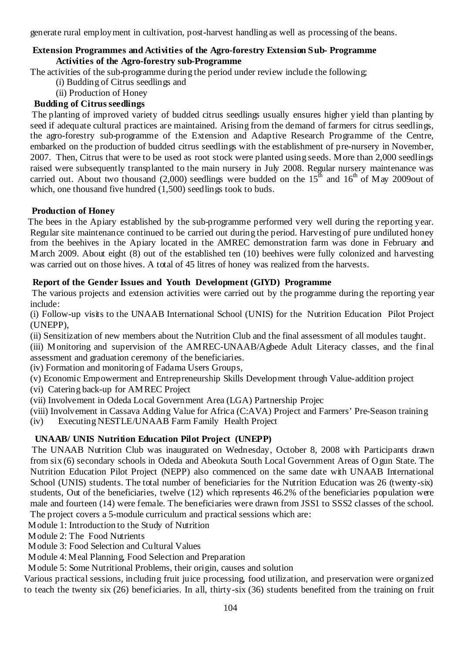generate rural employment in cultivation, post-harvest handling as well as processing of the beans.

### **Extension Programmes and Activities of the Agro-forestry Extension Sub- Programme Activities of the Agro-forestry sub-Programme**

The activities of the sub-programme during the period under review include the following;

- (i) Budding of Citrus seedlings and
- (ii) Production of Honey

# **Budding of Citrus seedlings**

The planting of improved variety of budded citrus seedlings usually ensures higher yield than planting by seed if adequate cultural practices are maintained. Arising from the demand of farmers for citrus seedlings, the agro-forestry sub-programme of the Extension and Adaptive Research Programme of the Centre, embarked on the production of budded citrus seedlings with the establishment of pre-nursery in November, 2007. Then, Citrus that were to be used as root stock were planted using seeds. More than 2,000 seedlings raised were subsequently transplanted to the main nursery in July 2008. Regular nursery maintenance was carried out. About two thousand (2,000) seedlings were budded on the  $15<sup>th</sup>$  and  $16<sup>th</sup>$  of May 2009out of which, one thousand five hundred (1,500) seedlings took to buds.

# **Production of Honey**

The bees in the Apiary established by the sub-programme performed very well during the reporting year. Regular site maintenance continued to be carried out during the period. Harvesting of pure undiluted honey from the beehives in the Apiary located in the AMREC demonstration farm was done in February and March 2009. About eight (8) out of the established ten (10) beehives were fully colonized and harvesting was carried out on those hives. A total of 45 litres of honey was realized from the harvests.

# **Report of the Gender Issues and Youth Development (GIYD) Programme**

The various projects and extension activities were carried out by the programme during the reporting year include:

(i) Follow-up visits to the UNAAB International School (UNIS) for the Nutrition Education Pilot Project (UNEPP),

(ii) Sensitization of new members about the Nutrition Club and the final assessment of all modules taught.

(iii) Monitoring and supervision of the AMREC-UNAAB/Agbede Adult Literacy classes, and the final assessment and graduation ceremony of the beneficiaries.

(iv) Formation and monitoring of Fadama Users Groups,

(v) Economic Empowerment and Entrepreneurship Skills Development through Value-addition project

- (vi) Catering back-up for AMREC Project
- (vii) Involvement in Odeda Local Government Area (LGA) Partnership Projec
- (viii) Involvement in Cassava Adding Value for Africa (C:AVA) Project and Farmers' Pre-Season training
- (iv) Executing NESTLE/UNAAB Farm Family Health Project

# **UNAAB/ UNIS Nutrition Education Pilot Project (UNEPP)**

The UNAAB Nutrition Club was inaugurated on Wednesday, October 8, 2008 with Participants drawn from six (6) secondary schools in Odeda and Abeokuta South Local Government Areas of Ogun State. The Nutrition Education Pilot Project (NEPP) also commenced on the same date with UNAAB International School (UNIS) students. The total number of beneficiaries for the Nutrition Education was 26 (twenty-six) students, Out of the beneficiaries, twelve (12) which represents 46.2% of the beneficiaries population were male and fourteen (14) were female. The beneficiaries were drawn from JSS1 to SSS2 classes of the school. The project covers a 5-module curriculum and practical sessions which are:

Module 1: Introduction to the Study of Nutrition

Module 2: The Food Nutrients

- Module 3: Food Selection and Cultural Values
- Module 4: Meal Planning, Food Selection and Preparation

Module 5: Some Nutritional Problems, their origin, causes and solution

Various practical sessions, including fruit juice processing, food utilization, and preservation were organized to teach the twenty six (26) beneficiaries. In all, thirty-six (36) students benefited from the training on fruit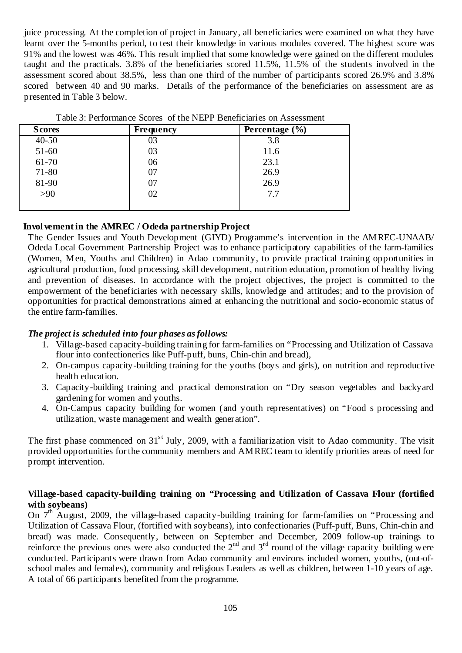juice processing. At the completion of project in January, all beneficiaries were examined on what they have learnt over the 5-months period, to test their knowledge in various modules covered. The highest score was 91% and the lowest was 46%. This result implied that some knowledge were gained on the different modules taught and the practicals. 3.8% of the beneficiaries scored 11.5%, 11.5% of the students involved in the assessment scored about 38.5%, less than one third of the number of participants scored 26.9% and 3.8% scored between 40 and 90 marks. Details of the performance of the beneficiaries on assessment are as presented in Table 3 below.

| <b>Scores</b> | <b>Frequency</b> | Percentage $(\% )$ |
|---------------|------------------|--------------------|
| $40 - 50$     | 03               | 3.8                |
| $51-60$       | 03               | 11.6               |
| 61-70         | 06               | 23.1               |
| 71-80         | 07               | 26.9               |
| 81-90         | 07               | 26.9               |
| $>90$         | 02               | 7.7                |
|               |                  |                    |

### **Invol vement in the AMREC / Odeda partnership Project**

The Gender Issues and Youth Development (GIYD) Programme's intervention in the AMREC-UNAAB/ Odeda Local Government Partnership Project was to enhance participatory capabilities of the farm-families (Women, Men, Youths and Children) in Adao community, to provide practical training opportunities in agricultural production, food processing, skill development, nutrition education, promotion of healthy living and prevention of diseases. In accordance with the project objectives, the project is committed to the empowerment of the beneficiaries with necessary skills, knowledge and attitudes; and to the provision of opportunities for practical demonstrations aimed at enhancing the nutritional and socio-economic status of the entire farm-families.

### *The project is scheduled into four phases as follows:*

- 1. Village-based capacity-building training for farm-families on "Processing and Utilization of Cassava flour into confectioneries like Puff-puff, buns, Chin-chin and bread),
- 2. On-campus capacity-building training for the youths (boys and girls), on nutrition and reproductive health education.
- 3. Capacity-building training and practical demonstration on "Dry season vegetables and backyard gardening for women and youths.
- 4. On-Campus capacity building for women (and youth representatives) on "Food s processing and utilization, waste management and wealth generation".

The first phase commenced on  $31<sup>st</sup>$  July, 2009, with a familiarization visit to Adao community. The visit provided opportunities for the community members and AMREC team to identify priorities areas of need for prompt intervention.

### **Village-based capacity-building training on "Processing and Utilization of Cassava Flour (fortified with soybeans)**

On  $7<sup>th</sup>$  August, 2009, the village-based capacity-building training for farm-families on "Processing and Utilization of Cassava Flour, (fortified with soybeans), into confectionaries (Puff-puff, Buns, Chin-chin and bread) was made. Consequently, between on September and December, 2009 follow-up trainings to reinforce the previous ones were also conducted the  $2<sup>nd</sup>$  and  $3<sup>rd</sup>$  round of the village capacity building were conducted. Participants were drawn from Adao community and environs included women, youths, (out-ofschool males and females), community and religious Leaders as well as children, between 1-10 years of age. A total of 66 participants benefited from the programme.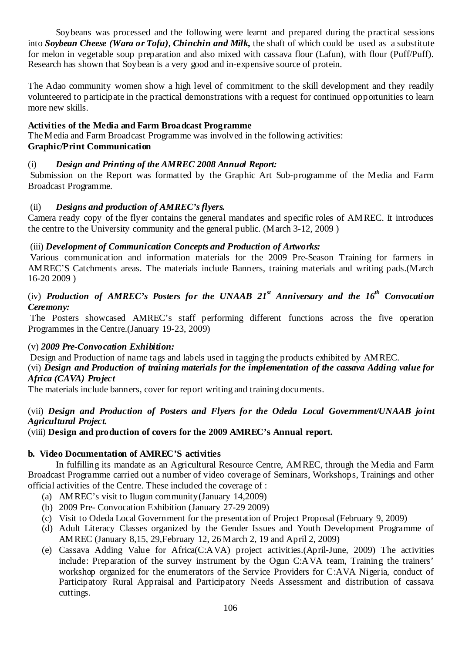Soybeans was processed and the following were learnt and prepared during the practical sessions into *Soybean Cheese (Wara or Tofu)*, *Chinchin and Milk,* the shaft of which could be used as a substitute for melon in vegetable soup preparation and also mixed with cassava flour (Lafun), with flour (Puff/Puff). Research has shown that Soybean is a very good and in-expensive source of protein.

The Adao community women show a high level of commitment to the skill development and they readily volunteered to participate in the practical demonstrations with a request for continued opportunities to learn more new skills.

### **Activities of the Media and Farm Broadcast Programme**

The Media and Farm Broadcast Programme was involved in the following activities: **Graphic/Print Communication** 

# (i) *Design and Printing of the AMREC 2008 Annual Report:*

 Submission on the Report was formatted by the Graphic Art Sub-programme of the Media and Farm Broadcast Programme.

# (ii) *Designs and production of AMREC's flyers.*

Camera ready copy of the flyer contains the general mandates and specific roles of AMREC. It introduces the centre to the University community and the general public. (March 3-12, 2009 )

# (iii) *Development of Communication Concepts and Production of Artworks:*

 Various communication and information materials for the 2009 Pre-Season Training for farmers in AMREC'S Catchments areas. The materials include Banners, training materials and writing pads.(March 16-20 2009 )

# (iv) Production of AMREC's Posters for the UNAAB  $2I<sup>st</sup>$  Anniversary and the  $16<sup>th</sup>$  Convocation *Ceremony:*

 The Posters showcased AMREC's staff performing different functions across the five operation Programmes in the Centre.(January 19-23, 2009)

### (v) *2009 Pre-Convocation Exhibition:*

Design and Production of name tags and labels used in tagging the products exhibited by AMREC.

(vi) *Design and Production of training materials for the implementation of the cassava Adding value for Africa (CAVA) Project* 

The materials include banners, cover for report writing and training documents.

# (vii) *Design and Production of Posters and Flyers for the Odeda Local Government/UNAAB joint Agricultural Project.*

(viii) **Design and production of covers for the 2009 AMREC's Annual report.** 

# **b. Video Documentation of AMREC'S activities**

In fulfilling its mandate as an Agricultural Resource Centre, AMREC, through the Media and Farm Broadcast Programme carried out a number of video coverage of Seminars, Workshops, Trainings and other official activities of the Centre. These included the coverage of :

- (a) AMREC's visit to Ilugun community(January 14,2009)
- (b) 2009 Pre- Convocation Exhibition (January 27-29 2009)
- (c) Visit to Odeda Local Government for the presentation of Project Proposal (February 9, 2009)
- (d) Adult Literacy Classes organized by the Gender Issues and Youth Development Programme of AMREC (January 8,15, 29,February 12, 26 March 2, 19 and April 2, 2009)
- (e) Cassava Adding Value for Africa(C:AVA) project activities.(April-June, 2009) The activities include: Preparation of the survey instrument by the Ogun C:AVA team, Training the trainers' workshop organized for the enumerators of the Service Providers for C:AVA Nigeria, conduct of Participatory Rural Appraisal and Participatory Needs Assessment and distribution of cassava cuttings.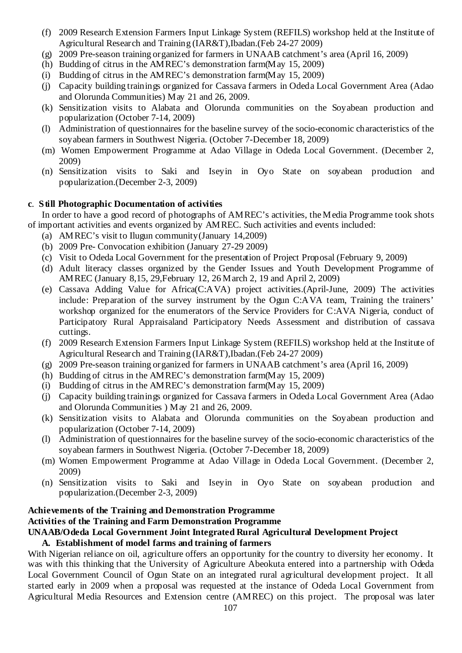- (f) 2009 Research Extension Farmers Input Linkage System (REFILS) workshop held at the Institute of Agricultural Research and Training (IAR&T),Ibadan.(Feb 24-27 2009)
- (g) 2009 Pre-season training organized for farmers in UNAAB catchment's area (April 16, 2009)
- (h) Budding of citrus in the AMREC's demonstration farm(May 15, 2009)
- (i) Budding of citrus in the AMREC's demonstration farm(May 15, 2009)
- (j) Capacity building trainings organized for Cassava farmers in Odeda Local Government Area (Adao and Olorunda Communities) May 21 and 26, 2009.
- (k) Sensitization visits to Alabata and Olorunda communities on the Soyabean production and popularization (October 7-14, 2009)
- (l) Administration of questionnaires for the baseline survey of the socio-economic characteristics of the soyabean farmers in Southwest Nigeria. (October 7-December 18, 2009)
- (m) Women Empowerment Programme at Adao Village in Odeda Local Government. (December 2, 2009)
- (n) Sensitization visits to Saki and Iseyin in Oyo State on soyabean production and popularization.(December 2-3, 2009)

### **c**. **Still Photographic Documentation of activities**

In order to have a good record of photographs of AMREC's activities, the Media Programme took shots of important activities and events organized by AMREC. Such activities and events included:

- (a) AMREC's visit to Ilugun community(January 14,2009)
- (b) 2009 Pre- Convocation exhibition (January 27-29 2009)
- (c) Visit to Odeda Local Government for the presentation of Project Proposal (February 9, 2009)
- (d) Adult literacy classes organized by the Gender Issues and Youth Development Programme of AMREC (January 8,15, 29,February 12, 26 March 2, 19 and April 2, 2009)
- (e) Cassava Adding Value for Africa(C:AVA) project activities.(April-June, 2009) The activities include: Preparation of the survey instrument by the Ogun C:AVA team, Training the trainers' workshop organized for the enumerators of the Service Providers for C:AVA Nigeria, conduct of Participatory Rural Appraisaland Participatory Needs Assessment and distribution of cassava cuttings.
- (f) 2009 Research Extension Farmers Input Linkage System (REFILS) workshop held at the Institute of Agricultural Research and Training (IAR&T),Ibadan.(Feb 24-27 2009)
- (g) 2009 Pre-season training organized for farmers in UNAAB catchment's area (April 16, 2009)
- (h) Budding of citrus in the AMREC's demonstration farm(May 15, 2009)
- (i) Budding of citrus in the AMREC's demonstration farm(May 15, 2009)
- (j) Capacity building trainings organized for Cassava farmers in Odeda Local Government Area (Adao and Olorunda Communities ) May 21 and 26, 2009.
- (k) Sensitization visits to Alabata and Olorunda communities on the Soyabean production and popularization (October 7-14, 2009)
- (l) Administration of questionnaires for the baseline survey of the socio-economic characteristics of the soyabean farmers in Southwest Nigeria. (October 7-December 18, 2009)
- (m) Women Empowerment Programme at Adao Village in Odeda Local Government. (December 2, 2009)
- (n) Sensitization visits to Saki and Iseyin in Oyo State on soyabean production and popularization.(December 2-3, 2009)

# **Achievements of the Training and Demonstration Programme Activities of the Training and Farm Demonstration Programme**

# **UNAAB/Odeda Local Government Joint Integrated Rural Agricultural Development Project**

# **A. Establishment of model farms and training of farmers**

With Nigerian reliance on oil, agriculture offers an opportunity for the country to diversity her economy. It was with this thinking that the University of Agriculture Abeokuta entered into a partnership with Odeda Local Government Council of Ogun State on an integrated rural agricultural development project. It all started early in 2009 when a proposal was requested at the instance of Odeda Local Government from Agricultural Media Resources and Extension centre (AMREC) on this project. The proposal was later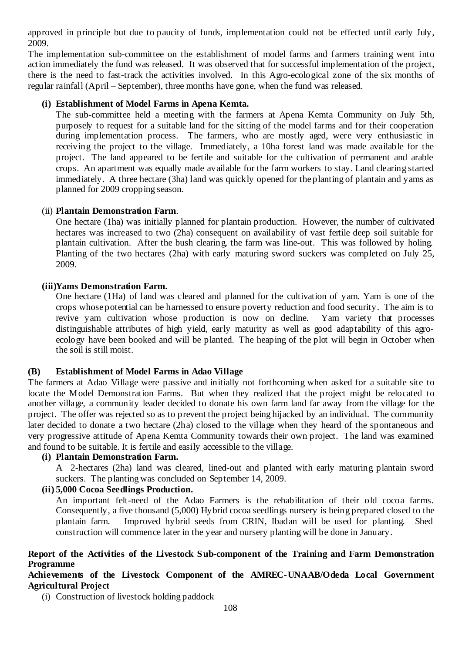approved in principle but due to paucity of funds, implementation could not be effected until early July, 2009.

The implementation sub-committee on the establishment of model farms and farmers training went into action immediately the fund was released. It was observed that for successful implementation of the project, there is the need to fast-track the activities involved. In this Agro-ecological zone of the six months of regular rainfall (April – September), three months have gone, when the fund was released.

### **(i) Establishment of Model Farms in Apena Kemta.**

The sub-committee held a meeting with the farmers at Apena Kemta Community on July 5th, purposely to request for a suitable land for the sitting of the model farms and for their cooperation during implementation process. The farmers, who are mostly aged, were very enthusiastic in receiving the project to the village. Immediately, a 10ha forest land was made available for the project. The land appeared to be fertile and suitable for the cultivation of permanent and arable crops. An apartment was equally made available for the farm workers to stay. Land clearing started immediately. A three hectare (3ha) land was quickly opened for the planting of plantain and yams as planned for 2009 cropping season.

### (ii) **Plantain Demonstration Farm**.

One hectare (1ha) was initially planned for plantain production. However, the number of cultivated hectares was increased to two (2ha) consequent on availability of vast fertile deep soil suitable for plantain cultivation. After the bush clearing, the farm was line-out. This was followed by holing. Planting of the two hectares (2ha) with early maturing sword suckers was completed on July 25, 2009.

### **(iii)Yams Demonstration Farm.**

One hectare (1Ha) of land was cleared and planned for the cultivation of yam. Yam is one of the crops whose potential can be harnessed to ensure poverty reduction and food security. The aim is to revive yam cultivation whose production is now on decline. Yam variety that processes distinguishable attributes of high yield, early maturity as well as good adaptability of this agroecology have been booked and will be planted. The heaping of the plot will begin in October when the soil is still moist.

### **(B) Establishment of Model Farms in Adao Village**

The farmers at Adao Village were passive and initially not forthcoming when asked for a suitable site to locate the Model Demonstration Farms. But when they realized that the project might be relocated to another village, a community leader decided to donate his own farm land far away from the village for the project. The offer was rejected so as to prevent the project being hijacked by an individual. The community later decided to donate a two hectare (2ha) closed to the village when they heard of the spontaneous and very progressive attitude of Apena Kemta Community towards their own project. The land was examined and found to be suitable. It is fertile and easily accessible to the village.

### **(i) Plantain Demonstration Farm.**

A 2-hectares (2ha) land was cleared, lined-out and planted with early maturing plantain sword suckers. The planting was concluded on September 14, 2009.

### **(ii) 5,000 Cocoa Seedlings Production.**

An important felt-need of the Adao Farmers is the rehabilitation of their old cocoa farms. Consequently, a five thousand (5,000) Hybrid cocoa seedlings nursery is being prepared closed to the plantain farm. Improved hybrid seeds from CRIN, Ibadan will be used for planting. Shed construction will commence later in the year and nursery planting will be done in January.

### **Report of the Activities of the Livestock Sub-component of the Training and Farm Demonstration Programme**

### **Achievements of the Livestock Component of the AMREC-UNAAB/Odeda Local Government Agricultural Project**

(i) Construction of livestock holding paddock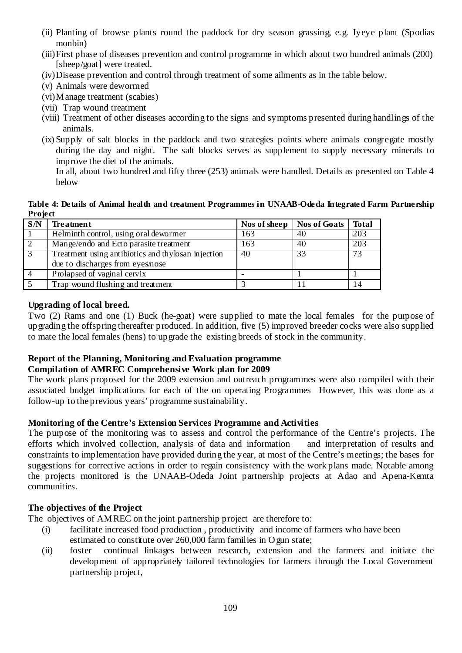- (ii) Planting of browse plants round the paddock for dry season grassing, e.g. Iyeye plant (Spodias monbin)
- (iii)First phase of diseases prevention and control programme in which about two hundred animals (200) [sheep/goat] were treated.
- (iv)Disease prevention and control through treatment of some ailments as in the table below.
- (v) Animals were dewormed
- (vi)Manage treatment (scabies)
- (vii) Trap wound treatment
- (viii) Treatment of other diseases according to the signs and symptoms presented during handlings of the animals.
- (ix) Supply of salt blocks in the paddock and two strategies points where animals congregate mostly during the day and night. The salt blocks serves as supplement to supply necessary minerals to improve the diet of the animals.

In all, about two hundred and fifty three (253) animals were handled. Details as presented on Table 4 below

#### **Table 4: Details of Animal health and treatment Programmes in UNAAB-Odeda Integrated Farm Partnership Project**

| S/N | <b>Treatment</b>                                    | Nos of sheep | Nos of Goats | <b>Total</b> |
|-----|-----------------------------------------------------|--------------|--------------|--------------|
|     | Helminth control, using oral dewormer               | 163          | 40           | 203          |
|     | Mange/endo and Ecto parasite treatment              | 163          | 40           | 203          |
|     | Treatment using antibiotics and thy losan injection | 40           | 33           |              |
|     | due to discharges from eyes/nose                    |              |              |              |
|     | Prolapsed of vaginal cervix                         |              |              |              |
|     | Trap wound flushing and treatment                   |              |              |              |

# **Upgrading of local breed.**

Two (2) Rams and one (1) Buck (he-goat) were supplied to mate the local females for the purpose of upgrading the offspring thereafter produced. In addition, five (5) improved breeder cocks were also supplied to mate the local females (hens) to upgrade the existing breeds of stock in the community.

# **Report of the Planning, Monitoring and Evaluation programme**

# **Compilation of AMREC Comprehensive Work plan for 2009**

The work plans proposed for the 2009 extension and outreach programmes were also compiled with their associated budget implications for each of the on operating Programmes However, this was done as a follow-up to the previous years' programme sustainability.

### **Monitoring of the Centre's Extension Services Programme and Activities**

The purpose of the monitoring was to assess and control the performance of the Centre's projects. The efforts which involved collection, analysis of data and information and interpretation of results and constraints to implementation have provided during the year, at most of the Centre's meetings; the bases for suggestions for corrective actions in order to regain consistency with the work plans made. Notable among the projects monitored is the UNAAB-Odeda Joint partnership projects at Adao and Apena-Kemta communities.

### **The objectives of the Project**

The objectives of AMREC on the joint partnership project are therefore to:

- (i) facilitate increased food production , productivity and income of farmers who have been estimated to constitute over 260,000 farm families in Ogun state;
- (ii) foster continual linkages between research, extension and the farmers and initiate the development of appropriately tailored technologies for farmers through the Local Government partnership project,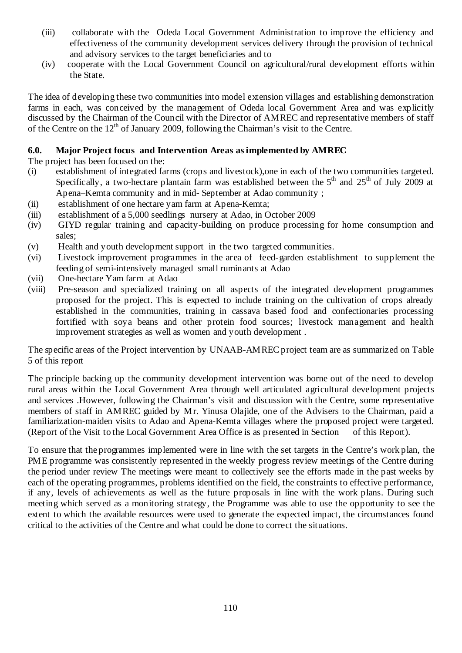- (iii) collaborate with the Odeda Local Government Administration to improve the efficiency and effectiveness of the community development services delivery through the provision of technical and advisory services to the target beneficiaries and to
- (iv) cooperate with the Local Government Council on agricultural/rural development efforts within the State.

The idea of developing these two communities into model extension villages and establishing demonstration farms in each, was conceived by the management of Odeda local Government Area and was explicitly discussed by the Chairman of the Council with the Director of AMREC and representative members of staff of the Centre on the  $12<sup>th</sup>$  of January 2009, following the Chairman's visit to the Centre.

# **6.0. Major Project focus and Intervention Areas as implemented by AMREC**

The project has been focused on the:

- (i) establishment of integrated farms (crops and livestock),one in each of the two communities targeted. Specifically, a two-hectare plantain farm was established between the  $5<sup>th</sup>$  and  $25<sup>th</sup>$  of July 2009 at Apena–Kemta community and in mid- September at Adao community ;
- (ii) establishment of one hectare yam farm at Apena-Kemta;
- (iii) establishment of a 5,000 seedlings nursery at Adao, in October 2009
- (iv) GIYD regular training and capacity-building on produce processing for home consumption and sales;
- (v) Health and youth development support in the two targeted communities.
- (vi) Livestock improvement programmes in the area of feed-garden establishment to supplement the feeding of semi-intensively managed small ruminants at Adao
- (vii) One-hectare Yam farm at Adao
- (viii) Pre-season and specialized training on all aspects of the integrated development programmes proposed for the project. This is expected to include training on the cultivation of crops already established in the communities, training in cassava based food and confectionaries processing fortified with soya beans and other protein food sources; livestock management and health improvement strategies as well as women and youth development .

The specific areas of the Project intervention by UNAAB-AMREC project team are as summarized on Table 5 of this report

The principle backing up the community development intervention was borne out of the need to develop rural areas within the Local Government Area through well articulated agricultural development projects and services .However, following the Chairman's visit and discussion with the Centre, some representative members of staff in AMREC guided by Mr. Yinusa Olajide, one of the Advisers to the Chairman, paid a familiarization-maiden visits to Adao and Apena-Kemta villages where the proposed project were targeted. (Report of the Visit to the Local Government Area Office is as presented in Section of this Report).

To ensure that the programmes implemented were in line with the set targets in the Centre's work plan, the PME programme was consistently represented in the weekly progress review meetings of the Centre during the period under review The meetings were meant to collectively see the efforts made in the past weeks by each of the operating programmes, problems identified on the field, the constraints to effective performance, if any, levels of achievements as well as the future proposals in line with the work plans. During such meeting which served as a monitoring strategy, the Programme was able to use the opportunity to see the extent to which the available resources were used to generate the expected impact, the circumstances found critical to the activities of the Centre and what could be done to correct the situations.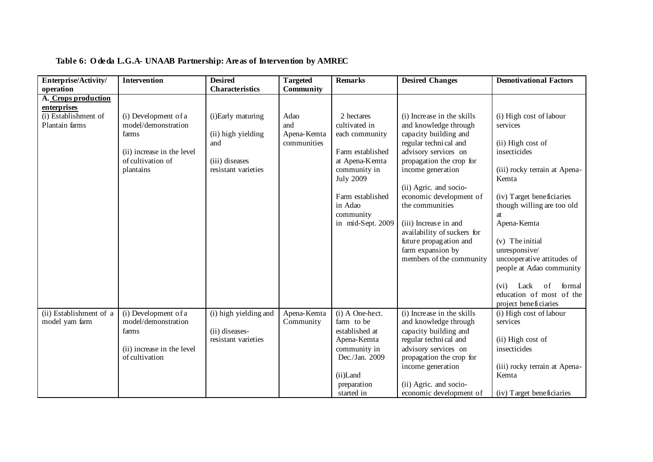| Enterprise/Activity/                                                         | <b>Intervention</b>                                                                                                  | <b>Desired</b>                                                                          | <b>Targeted</b>                           | <b>Remarks</b>                                                                                                                                                                           | <b>Desired Changes</b>                                                                                                                                                                                                                                                                                                                                                                    | <b>Demotivational Factors</b>                                                                                                                                                                                                                                                                      |
|------------------------------------------------------------------------------|----------------------------------------------------------------------------------------------------------------------|-----------------------------------------------------------------------------------------|-------------------------------------------|------------------------------------------------------------------------------------------------------------------------------------------------------------------------------------------|-------------------------------------------------------------------------------------------------------------------------------------------------------------------------------------------------------------------------------------------------------------------------------------------------------------------------------------------------------------------------------------------|----------------------------------------------------------------------------------------------------------------------------------------------------------------------------------------------------------------------------------------------------------------------------------------------------|
| operation                                                                    |                                                                                                                      | Characteristics                                                                         | Community                                 |                                                                                                                                                                                          |                                                                                                                                                                                                                                                                                                                                                                                           |                                                                                                                                                                                                                                                                                                    |
| A. Crops production<br>enterprises<br>(i) Establishment of<br>Plantain farms | (i) Development of a<br>model/demonstration<br>farms<br>(ii) increase in the level<br>of cultivation of<br>plantains | (i)Early maturing<br>(ii) high yielding<br>and<br>(iii) diseases<br>resistant varieties | Adao<br>and<br>Apena-Kemta<br>communities | 2 hectares<br>cultivated in<br>each community<br>Farm established<br>at Apena-Kemta<br>community in<br><b>July 2009</b><br>Farm established<br>in Adao<br>community<br>in mid-Sept. 2009 | (i) Increase in the skills<br>and knowledge through<br>capacity building and<br>regular technical and<br>advisory services on<br>propagation the crop for<br>income generation<br>(ii) Agric. and socio-<br>economic development of<br>the communities<br>(iii) Increase in and<br>availability of suckers for<br>future propagation and<br>farm expansion by<br>members of the community | (i) High cost of labour<br>services<br>(ii) High cost of<br>insecticides<br>(iii) rocky terrain at Apena-<br>Kemta<br>(iv) Target beneficiaries<br>though willing are too old<br>at<br>Apena-Kemta<br>$(v)$ The initial<br>unresponsive/<br>uncooperative attitudes of<br>people at Adao community |
|                                                                              |                                                                                                                      |                                                                                         |                                           |                                                                                                                                                                                          |                                                                                                                                                                                                                                                                                                                                                                                           | of<br>formal<br>Lack<br>(vi)<br>education of most of the<br>project beneficiaries                                                                                                                                                                                                                  |
| (ii) Establishment of a<br>model yam farm                                    | (i) Development of a<br>model/demonstration<br>farms<br>(ii) increase in the level<br>of cultivation                 | (i) high yielding and<br>(ii) diseases-<br>resistant varieties                          | Apena-Kemta<br>Community                  | (i) A One-hect.<br>farm to be<br>established at<br>Apena-Kemta<br>community in<br>Dec./Jan. 2009<br>(ii)Land<br>preparation<br>started in                                                | (i) Increase in the skills<br>and knowledge through<br>capacity building and<br>regular technical and<br>advisory services on<br>propagation the crop for<br>income generation<br>(ii) Agric. and socio-<br>economic development of                                                                                                                                                       | (i) High cost of labour<br>services<br>(ii) High cost of<br>insecticides<br>(iii) rocky terrain at Apena-<br>Kemta<br>(iv) Target beneficiaries                                                                                                                                                    |

# **Table 6: O deda L.G.A- UNAAB Partnership: Areas of Intervention by AMREC**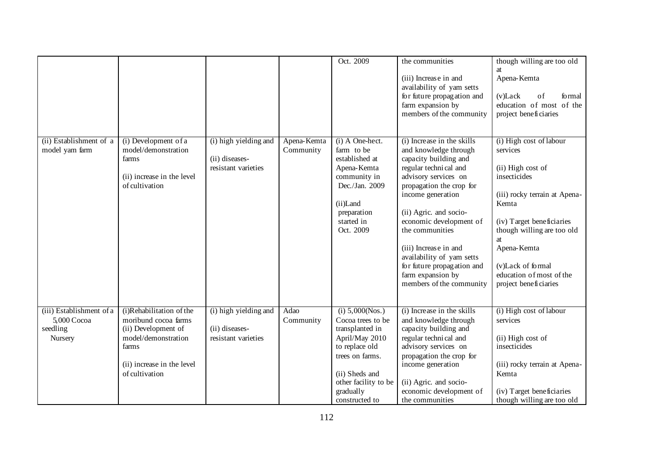|                                                                |                                                                                                                                                         |                                                                |                          | Oct. 2009                                                                                                                                                                               | the communities<br>(iii) Increase in and<br>availability of yam setts<br>for future propagation and<br>farm expansion by<br>members of the community                                                                                                                                                                                                                                        | though willing are too old<br>at<br>Apena-Kemta<br>$(v)$ Lack<br>of<br>formal<br>education of most of the<br>project beneficiaries                                                                                                                                           |
|----------------------------------------------------------------|---------------------------------------------------------------------------------------------------------------------------------------------------------|----------------------------------------------------------------|--------------------------|-----------------------------------------------------------------------------------------------------------------------------------------------------------------------------------------|---------------------------------------------------------------------------------------------------------------------------------------------------------------------------------------------------------------------------------------------------------------------------------------------------------------------------------------------------------------------------------------------|------------------------------------------------------------------------------------------------------------------------------------------------------------------------------------------------------------------------------------------------------------------------------|
| (ii) Establishment of a<br>model yam farm                      | (i) Development of a<br>model/demonstration<br>farms<br>(ii) increase in the level<br>of cultivation                                                    | (i) high yielding and<br>(ii) diseases-<br>resistant varieties | Apena-Kemta<br>Community | (i) A One-hect.<br>farm to be<br>established at<br>Apena-Kemta<br>community in<br>Dec./Jan. 2009<br>(ii)Land<br>preparation<br>started in<br>Oct. 2009                                  | (i) Increase in the skills<br>and knowledge through<br>capacity building and<br>regular technical and<br>advisory services on<br>propagation the crop for<br>income generation<br>(ii) Agric. and socio-<br>economic development of<br>the communities<br>(iii) Increase in and<br>availability of yam setts<br>for future propagation and<br>farm expansion by<br>members of the community | (i) High cost of labour<br>services<br>(ii) High cost of<br>insecticides<br>(iii) rocky terrain at Apena-<br>Kemta<br>(iv) Target beneficiaries<br>though willing are too old<br>at<br>Apena-Kemta<br>(v)Lack of formal<br>education of most of the<br>project beneficiaries |
| (iii) Establishment of a<br>5,000 Cocoa<br>seedling<br>Nursery | (i)Rehabilitation of the<br>moribund cocoa farms<br>(ii) Development of<br>model/demonstration<br>farms<br>(ii) increase in the level<br>of cultivation | (i) high yielding and<br>(ii) diseases-<br>resistant varieties | Adao<br>Community        | (i) 5,000(Nos.)<br>Cocoa trees to be<br>transplanted in<br>April/May 2010<br>to replace old<br>trees on farms.<br>(ii) Sheds and<br>other facility to be<br>gradually<br>constructed to | (i) Increase in the skills<br>and knowledge through<br>capacity building and<br>regular technical and<br>advisory services on<br>propagation the crop for<br>income generation<br>(ii) Agric. and socio-<br>economic development of<br>the communities                                                                                                                                      | (i) High cost of labour<br>services<br>(ii) High cost of<br>insecticides<br>(iii) rocky terrain at Apena-<br>Kemta<br>(iv) Target beneficiaries<br>though willing are too old                                                                                                |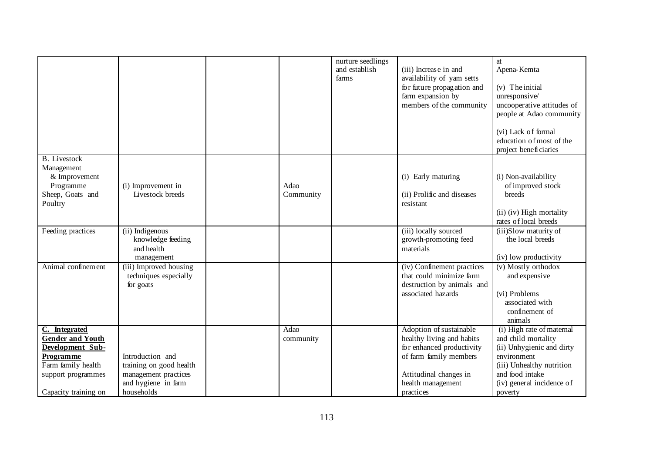|                                                                                                                                                      |                                                                                                          |                   | nurture seedlings<br>and establish<br>farms | (iii) Increase in and<br>availability of yam setts<br>for future propagation and<br>farm expansion by<br>members of the community                                       | at<br>Apena-Kemta<br>(v) The initial<br>unresponsive/<br>uncooperative attitudes of<br>people at Adao community<br>(vi) Lack of formal<br>education of most of the<br>project beneficiaries |
|------------------------------------------------------------------------------------------------------------------------------------------------------|----------------------------------------------------------------------------------------------------------|-------------------|---------------------------------------------|-------------------------------------------------------------------------------------------------------------------------------------------------------------------------|---------------------------------------------------------------------------------------------------------------------------------------------------------------------------------------------|
| <b>B.</b> Livestock<br>Management<br>& Improvement<br>Programme<br>Sheep, Goats and<br>Poultry                                                       | (i) Improvement in<br>Livestock breeds                                                                   | Adao<br>Community |                                             | (i) Early maturing<br>(ii) Prolific and diseases<br>resistant                                                                                                           | (i) Non-availability<br>of improved stock<br>breeds<br>(ii) (iv) High mortality<br>rates of local breeds                                                                                    |
| Feeding practices                                                                                                                                    | (ii) Indigenous<br>knowledge feeding<br>and health<br>management                                         |                   |                                             | (iii) locally sourced<br>growth-promoting feed<br>materials                                                                                                             | (iii)Slow maturity of<br>the local breeds<br>(iv) low productivity                                                                                                                          |
| Animal confinement                                                                                                                                   | (iii) Improved housing<br>techniques especially<br>for goats                                             |                   |                                             | (iv) Confinement practices<br>that could minimize farm<br>destruction by animals and<br>associated hazards                                                              | (v) Mostly orthodox<br>and expensive<br>(vi) Problems<br>associated with<br>confinement of<br>animals                                                                                       |
| C. Integrated<br><b>Gender and Youth</b><br>Development Sub-<br><b>Programme</b><br>Farm family health<br>support programmes<br>Capacity training on | Introduction and<br>training on good health<br>management practices<br>and hygiene in farm<br>households | Adao<br>community |                                             | Adoption of sustainable<br>healthy living and habits<br>for enhanced productivity<br>of farm family members<br>Attitudinal changes in<br>health management<br>practices | (i) High rate of maternal<br>and child mortality<br>(ii) Unhygienic and dirty<br>environment<br>(iii) Unhealthy nutrition<br>and food intake<br>(iv) general incidence of<br>poverty        |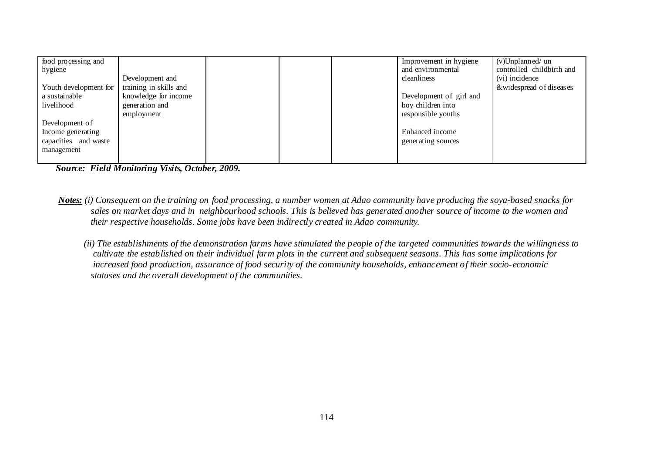| food processing and<br>hygiene |                        |  | Improvement in hygiene<br>and environmental | $(v)$ Unplanned/un<br>controlled childbirth and |
|--------------------------------|------------------------|--|---------------------------------------------|-------------------------------------------------|
|                                | Development and        |  | cleanliness                                 | (vi) incidence                                  |
| Youth development for          | training in skills and |  |                                             | &widespread of diseases                         |
| a sustainable                  | knowledge for income   |  | Development of girl and                     |                                                 |
| livelihood                     | generation and         |  | boy children into                           |                                                 |
|                                | employment             |  | responsible youths                          |                                                 |
| Development of                 |                        |  |                                             |                                                 |
| Income generating              |                        |  | Enhanced income                             |                                                 |
| capacities and waste           |                        |  | generating sources                          |                                                 |
| management                     |                        |  |                                             |                                                 |
|                                |                        |  |                                             |                                                 |

*Source: Field Monitoring Visits, October, 2009.* 

- *Notes: (i) Consequent on the training on food processing, a number women at Adao community have producing the soya-based snacks for sales on market days and in neighbourhood schools. This is believed has generated another source of income to the women and their respective households. Some jobs have been indirectly created in Adao community.* 
	- *(ii) The establishments of the demonstration farms have stimulated the people of the targeted communities towards the willingness to cultivate the established on their individual farm plots in the current and subsequent seasons. This has some implications for increased food production, assurance of food security of the community households, enhancement of their socio-economic statuses and the overall development of the communities.*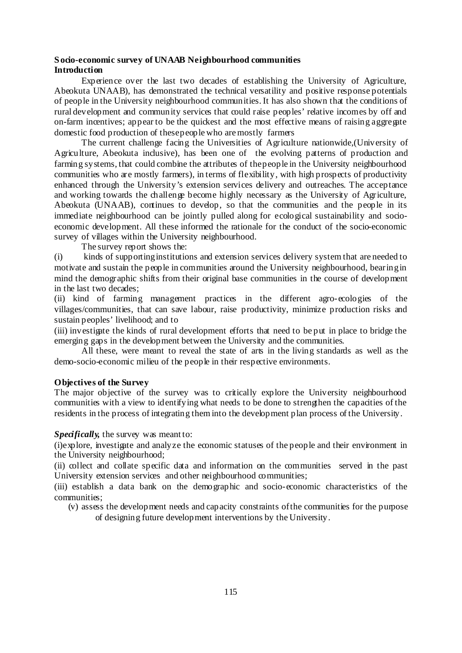#### **S ocio-economic survey of UNAAB Neighbourhood communities Introduction**

Experience over the last two decades of establishing the University of Agriculture, Abeokuta UNAAB), has demonstrated the technical versatility and positive response potentials of people in the University neighbourhood communities. It has also shown that the conditions of rural development and community services that could raise peoples' relative incomes by off and on-farm incentives; appear to be the quickest and the most effective means of raising aggregate domestic food production of these people who are mostly farmers

The current challenge facing the Universities of Agriculture nationwide,(University of Agriculture, Abeokuta inclusive), has been one of the evolving patterns of production and farming systems, that could combine the attributes of the people in the University neighbourhood communities who are mostly farmers), in terms of flexibility, with high prospects of productivity enhanced through the University's extension services delivery and outreaches. The acceptance and working towards the challenge become highly necessary as the University of Agriculture, Abeokuta (UNAAB), continues to develop, so that the communities and the people in its immediate neighbourhood can be jointly pulled along for ecological sustainability and socioeconomic development. All these informed the rationale for the conduct of the socio-economic survey of villages within the University neighbourhood.

The survey report shows the:

(i) kinds of supporting institutions and extension services delivery system that are needed to motivate and sustain the people in communities around the University neighbourhood, bearing in mind the demographic shifts from their original base communities in the course of development in the last two decades;

(ii) kind of farming management practices in the different agro-ecologies of the villages/communities, that can save labour, raise productivity, minimize production risks and sustain peoples' livelihood; and to

(iii) investigate the kinds of rural development efforts that need to be put in place to bridge the emerging gaps in the development between the University and the communities.

All these, were meant to reveal the state of arts in the living standards as well as the demo-socio-economic milieu of the people in their respective environments.

### **Objectives of the Survey**

The major objective of the survey was to critically explore the University neighbourhood communities with a view to identifying what needs to be done to strengthen the capacities of the residents in the process of integrating them into the development plan process of the University.

#### *Specifically,* the survey was meant to:

(i)explore, investigate and analyze the economic statuses of the people and their environment in the University neighbourhood;

(ii) collect and collate specific data and information on the communities served in the past University extension services and other neighbourhood communities;

(iii) establish a data bank on the demographic and socio-economic characteristics of the communities;

(v) assess the development needs and capacity constraints of the communities for the purpose of designing future development interventions by the University.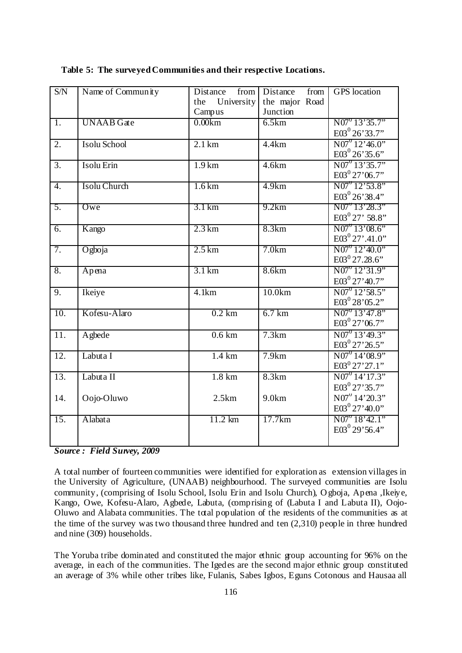| S/N               | Name of Community | Distance<br>from            | from<br>Distance           | <b>GPS</b> location                               |
|-------------------|-------------------|-----------------------------|----------------------------|---------------------------------------------------|
|                   |                   | University<br>the<br>Campus | the major Road<br>Junction |                                                   |
| $\overline{1}$ .  | <b>UNAAB</b> Gate | 0.00km                      | 6.5km                      | $N07^{0}$ 13'35.7"                                |
|                   |                   |                             |                            | $E03^0$ 26'33.7"                                  |
| 2.                | Isolu School      | $2.1 \text{ km}$            | 4.4km                      | $N07^{0}12'46.0"$                                 |
|                   |                   |                             |                            | $E03^0$ 26'35.6"                                  |
| 3.                | Isolu Erin        | $1.9 \mathrm{km}$           | 4.6km                      | $N07^{0}$ 13'35.7"                                |
|                   |                   |                             |                            | $E03^0$ 27'06.7"                                  |
| 4.                | Isolu Church      | 1.6 km                      | 4.9km                      | $N07''$ 12'53.8"                                  |
|                   |                   |                             |                            | $E03^0$ 26'38.4"                                  |
| 5.                | Owe               | 3.1 km                      | 9.2km                      | $N07^{\circ}13'28.3"$                             |
|                   |                   |                             |                            | $E03^0$ 27' 58.8"                                 |
| 6.                | Kango             | $2.3 \mathrm{km}$           | 8.3km                      | $\overline{N07}^0$ 13'08.6"<br>$E03^0 27'$ .41.0" |
|                   |                   |                             |                            |                                                   |
| 7.                | Ogboja            | $2.5 \mathrm{km}$           | 7.0km                      | $N07^{0}12'40.0"$<br>$E03^0$ 27.28.6"             |
|                   |                   |                             |                            | $N07^{\circ}12'31.9"$                             |
| 8.                | Apena             | $3.1 \mathrm{km}$           | 8.6km                      | $E03^0$ 27'40.7"                                  |
| 9.                | Ikeiye            | 4.1km                       | 10.0km                     | $N07^{0}12'58.5"$                                 |
|                   |                   |                             |                            | $E03^0$ 28'05.2"                                  |
| 10.               | Kofesu-Alaro      | $0.2$ km                    | 6.7 km                     | $N07^{0}$ 13'47.8"                                |
|                   |                   |                             |                            | $E03^0$ 27'06.7"                                  |
| $\overline{11}$ . | Agbede            | $0.6 \mathrm{km}$           | 7.3km                      | $N07^{0}$ 13'49.3"                                |
|                   |                   |                             |                            | $E03^0$ 27' 26.5"                                 |
| $\overline{12}$ . | Labuta I          | 1.4 km                      | 7.9km                      | $N07^{0}$ 14'08.9"                                |
|                   |                   |                             |                            | $E03^0 27'27.1''$                                 |
| 13.               | Labuta II         | 1.8 km                      | 8.3km                      | $N07^{0}$ 14' 17.3"                               |
|                   |                   |                             |                            | $E03^{0}$ 27'35.7"                                |
| 14.               | Oojo-Oluwo        | 2.5km                       | 9.0km                      | $N07''$ 14'20.3"                                  |
|                   |                   |                             |                            | $E03^0$ 27'40.0"                                  |
| 15.               | Alabata           | 11.2 km                     | 17.7km                     | $N07^{\circ}18'42.1"$                             |
|                   |                   |                             |                            | $E03^{0}$ 29'56.4"                                |
|                   |                   |                             |                            |                                                   |

**Table 5: The surveyed Communities and their respective Locations.** 

A total number of fourteen communities were identified for exploration as extension villages in the University of Agriculture, (UNAAB) neighbourhood. The surveyed communities are Isolu community, (comprising of Isolu School, Isolu Erin and Isolu Church), O gboja, Apena ,Ikeiye, Kango, Owe, Kofesu-Alaro, Agbede, Labuta, (comprising of (Labuta I and Labuta II), Oojo-Oluwo and Alabata communities. The total population of the residents of the communities as at the time of the survey was two thousand three hundred and ten (2,310) people in three hundred and nine (309) households.

The Yoruba tribe dominated and constituted the major ethnic group accounting for 96% on the average, in each of the communities. The Igedes are the second major ethnic group constituted an average of 3% while other tribes like, Fulanis, Sabes Igbos, Eguns Cotonous and Hausaa all

*Source : Field Survey, 2009*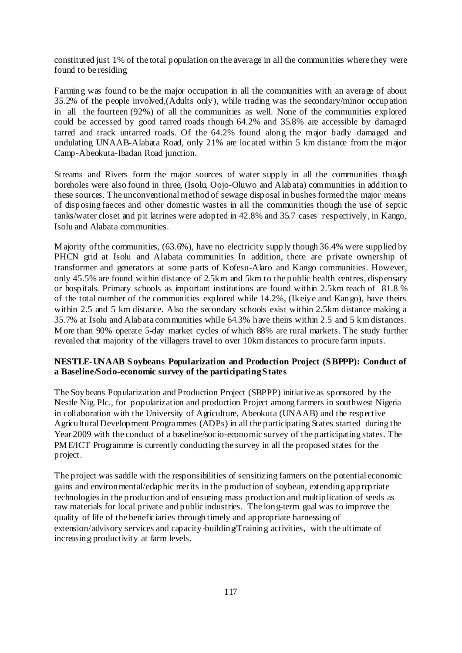constituted just 1% of the total population on the average in all the communities where they were found to be residing

Farming was found to be the major occupation in all the communities with an average of about 35.2% of the people involved,(Adults only), while trading was the secondary/minor occupation in all the fourteen (92%) of all the communities as well. None of the communities explored could be accessed by good tarred roads though 64.2% and 35.8% are accessible by damaged tarred and track untarred roads. Of the 64.2% found along the major badly damaged and undulating UNAAB-Alabata Road, only 21% are located within 5 km distance from the major Camp-Abeokuta-Ibadan Road junction.

Streams and Rivers form the major sources of water supply in all the communities though boreholes were also found in three, (Isolu, Oojo-Oluwo and Alabata) communities in addition to these sources. The unconventional method of sewage disposal in bushes formed the major means of disposing faeces and other domestic wastes in all the communities though the use of septic tanks/water closet and pit latrines were adopted in 42.8% and 35.7 cases respectively, in Kango, Isolu and Alabata communities.

M ajority of the communities, (63.6%), have no electricity supply though 36.4% were supplied by PHCN grid at Isolu and Alabata communities In addition, there are private ownership of transformer and generators at some parts of Kofesu-Alaro and Kango communities. However, only 45.5% are found within distance of 2.5km and 5km to the public health centres, dispensary or hospitals. Primary schools as important institutions are found within 2.5km reach of 81.8 % of the total number of the communities explored while 14.2%, (Ikeiye and Kango), have theirs within 2.5 and 5 km distance. Also the secondary schools exist within 2.5km distance making a 35.7% at Isolu and Alabata communities while 64.3% have theirs within 2.5 and 5 km distances. M ore than 90% operate 5-day market cycles of which 88% are rural markets. The study further revealed that majority of the villagers travel to over 10km distances to procure farm inputs.

#### **NESTLE-UNAAB S oybeans Popularization and Production Project (S BPPP): Conduct of a Baseline/Socio-economic survey of the participating S tates**

The Soybeans Popularization and Production Project (SBPPP) initiative as sponsored by the Nestle Nig. Plc., for popularization and production Project among farmers in southwest Nigeria in collaboration with the University of Agriculture, Abeokuta (UNAAB) and the respective Agricultural Development Programmes (ADPs) in all the participating States started during the Year 2009 with the conduct of a baseline/socio-economic survey of the participating states. The PM E/ICT Programme is currently conducting the survey in all the proposed states for the project.

The project was saddle with the responsibilities of sensitizing farmers on the potential economic gains and environmental/edaphic merits in the production of soybean, extending appropriate technologies in the production and of ensuring mass production and multiplication of seeds as raw materials for local private and public industries. The long-term goal was to improve the quality of life of the beneficiaries through timely and appropriate harnessing of extension/advisory services and capacity-building/Training activities, with the ultimate of increasing productivity at farm levels.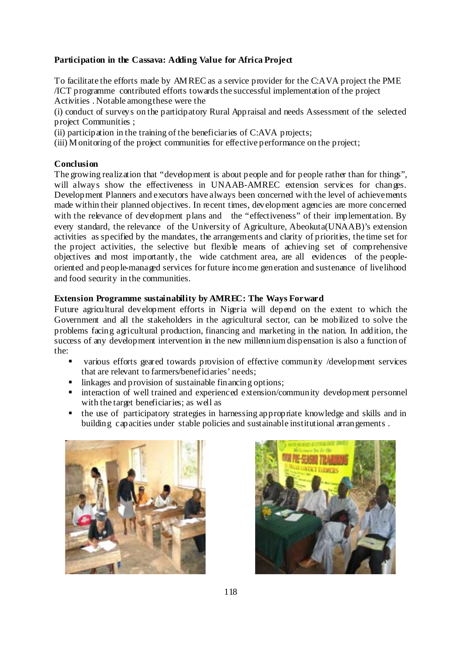### **Participation in the Cassava: Adding Value for Africa Project**

To facilitate the efforts made by AM REC as a service provider for the C:AVA project the PME /ICT programme contributed efforts towards the successful implementation of the project Activities . Notable among these were the

(i) conduct of surveys on the participatory Rural Appraisal and needs Assessment of the selected project Communities ;

(ii) participation in the training of the beneficiaries of C:AVA projects;

(iii) M onitoring of the project communities for effective performance on the project;

#### **Conclusion**

The growing realization that "development is about people and for people rather than for things", will always show the effectiveness in UNAAB-AMREC extension services for changes. Development Planners and executors have always been concerned with the level of achievements made within their planned objectives. In recent times, development agencies are more concerned with the relevance of development plans and the "effectiveness" of their implementation. By every standard, the relevance of the University of Agriculture, Abeokuta(UNAAB)'s extension activities as specified by the mandates, the arrangements and clarity of priorities, the time set for the project activities, the selective but flexible means of achieving set of comprehensive objectives and most importantly, the wide catchment area, are all evidences of the peopleoriented and people-managed services for future income generation and sustenance of livelihood and food security in the communities.

### **Extension Programme sustainability by AMREC: The Ways Forward**

Future agricultural development efforts in Nigeria will depend on the extent to which the Government and all the stakeholders in the agricultural sector, can be mobilized to solve the problems facing agricultural production, financing and marketing in the nation. In addition, the success of any development intervention in the new millennium dispensation is also a function of the:

- various efforts geared towards provision of effective community /development services that are relevant to farmers/beneficiaries' needs;
- linkages and provision of sustainable financing options;
- **interaction of well trained and experienced extension/community development personnel** with the target beneficiaries; as well as
- the use of participatory strategies in harnessing appropriate knowledge and skills and in building capacities under stable policies and sustainable institutional arrangements .



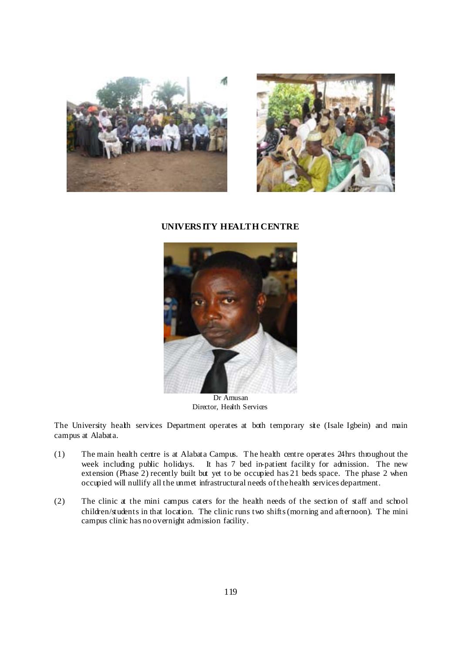



#### **UNIVERS ITY HEALTH CENTRE**



Dr Amusan Director, Health Services

The University health services Department operates at both temporary site (Isale Igbein) and main campus at Alabata.

- (1) The main health centre is at Alabata Campus. T he health centre operates 24hrs throughout the week including public holidays. It has 7 bed in-patient facility for admission. The new extension (Phase 2) recently built but yet to be occupied has 21 beds space. The phase 2 when occupied will nullify all the unmet infrastructural needs of the health services department.
- (2) The clinic at the mini campus caters for the health needs of the section of staff and school children/students in that location. The clinic runs two shifts (morning and afternoon). The mini campus clinic has no overnight admission facility.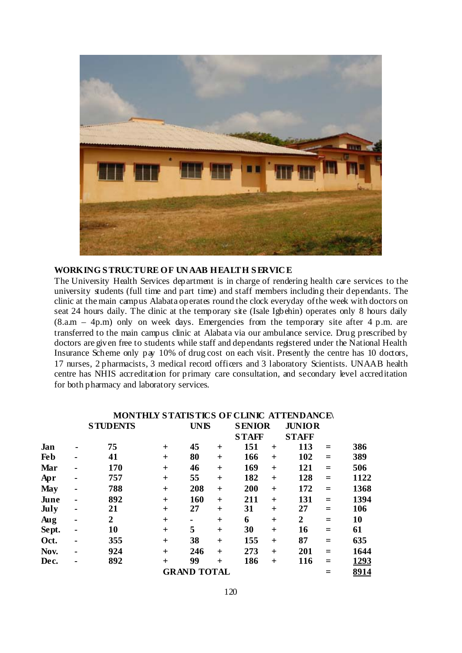

### **WORKING S TRUCTURE OF UN AAB HEALTH S ERVIC E**

The University Health Services department is in charge of rendering health care services to the university students (full time and part time) and staff members including their dependants. The clinic at the main campus Alabata operates round the clock everyday of the week with doctors on seat 24 hours daily. The clinic at the temporary site (Isale Igbehin) operates only 8 hours daily  $(8.a.m - 4p.m)$  only on week days. Emergencies from the temporary site after 4 p.m. are transferred to the main campus clinic at Alabata via our ambulance service. Drug prescribed by doctors are given free to students while staff and dependants registered under the National Health Insurance Scheme only pay 10% of drug cost on each visit. Presently the centre has 10 doctors, 17 nurses, 2 pharmacists, 3 medical record officers and 3 laboratory Scientists. UNAAB health centre has NHIS accreditation for primary care consultation, and secondary level accreditation for both pharmacy and laboratory services.

|            |   |                 |           | <b>MONTHLY STATISTICS OF CLINIC ATTENDANCE\</b> |       |              |               |              |               |      |
|------------|---|-----------------|-----------|-------------------------------------------------|-------|--------------|---------------|--------------|---------------|------|
|            |   | <b>STUDENTS</b> |           | <b>UNIS</b>                                     |       |              | <b>SENIOR</b> |              | <b>JUNIOR</b> |      |
|            |   |                 |           |                                                 |       | <b>STAFF</b> |               | <b>STAFF</b> |               |      |
| Jan        |   | 75              | $\pm$     | 45                                              | $+$   | 151          | $\ddot{}$     | 113          | $=$           | 386  |
| <b>Feb</b> |   | 41              | $\pm$     | 80                                              | $\pm$ | 166          | $\ddot{}$     | 102          | $=$           | 389  |
| Mar        |   | 170             | $\ddot{}$ | 46                                              | $+$   | 169          | $+$           | 121          | $=$           | 506  |
| Apr        | ۰ | 757             | $\pm$     | 55                                              | $+$   | 182          | $+$           | 128          | $=$           | 1122 |
| <b>May</b> |   | 788             | $\ddot{}$ | 208                                             | $+$   | 200          | $+$           | 172          | $=$           | 1368 |
| June       |   | 892             | $\ddot{}$ | 160                                             | $+$   | 211          | $+$           | 131          | $=$           | 1394 |
| July       | ۰ | 21              | $\ddot{}$ | 27                                              | $+$   | 31           | $+$           | 27           | $=$           | 106  |
| Aug        |   | 2               | $+$       | ٠                                               | $+$   | 6            | $+$           | 2            | $=$           | 10   |
| Sept.      | ۰ | 10              | $\ddot{}$ | 5                                               | $+$   | 30           | $+$           | 16           | $=$           | 61   |
| Oct.       |   | 355             | $\pm$     | 38                                              | $+$   | 155          | $\ddot{}$     | 87           | $=$           | 635  |
| Nov.       |   | 924             | $\ddot{}$ | 246                                             | $+$   | 273          | $\ddot{}$     | 201          | $=$           | 1644 |
| Dec.       |   | 892             | $\ddot{}$ | 99                                              | $+$   | 186          | $\ddot{}$     | 116          | $=$           | 1293 |
|            |   |                 |           | <b>GRAND TOTAL</b>                              |       |              |               |              |               | 8914 |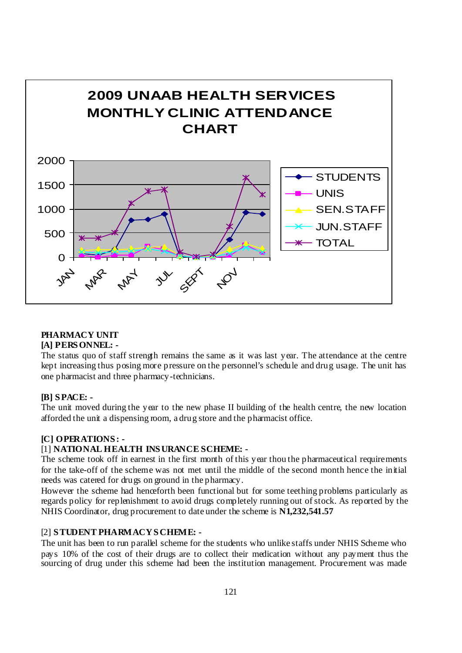

# **PHARMACY UNIT**

### **[A] PERS ONNEL: -**

The status quo of staff strength remains the same as it was last year. The attendance at the centre kept increasing thus posing more pressure on the personnel's schedule and drug usage. The unit has one pharmacist and three pharmacy-technicians.

### **[B] S PACE: -**

The unit moved during the year to the new phase II building of the health centre, the new location afforded the unit a dispensing room, a drug store and the pharmacist office.

### **[C] OPERATIONS : -**

### [1] **NATIONAL HEALTH INS URANCE SCHEME: -**

The scheme took off in earnest in the first month of this year thou the pharmaceutical requirements for the take-off of the scheme was not met until the middle of the second month hence the initial needs was catered for drugs on ground in the pharmacy.

However the scheme had henceforth been functional but for some teething problems particularly as regards policy for replenishment to avoid drugs completely running out of stock. As reported by the NHIS Coordinator, drug procurement to date under the scheme is **N1,232,541.57** 

### [2] **S TUDENT PHARMACY S CHEME: -**

The unit has been to run parallel scheme for the students who unlike staffs under NHIS Scheme who pays 10% of the cost of their drugs are to collect their medication without any payment thus the sourcing of drug under this scheme had been the institution management. Procurement was made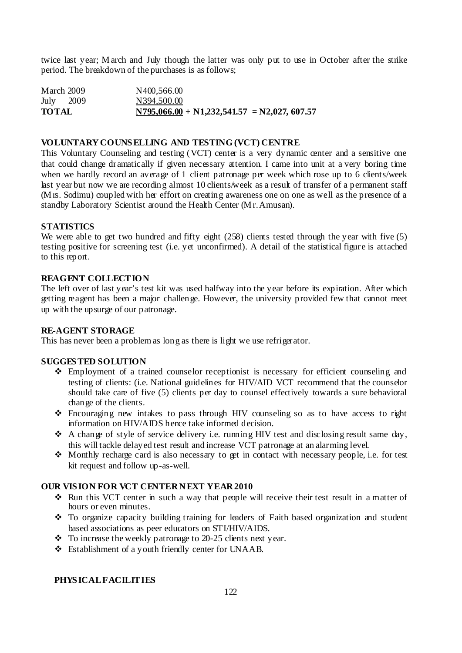twice last year; M arch and July though the latter was only put to use in October after the strike period. The breakdown of the purchases is as follows;

| <b>TOTAL</b> |      | $N795,066.00 + N1,232,541.57 = N2,027,607.57$ |
|--------------|------|-----------------------------------------------|
| July         | 2009 | N394,500.00                                   |
| March 2009   |      | N400,566.00                                   |

#### **VOLUNTARY COUNS ELLING AND TESTING (VCT) CENTRE**

This Voluntary Counseling and testing (VCT) center is a very dynamic center and a sensitive one that could change dramatically if given necessary attention. I came into unit at a very boring time when we hardly record an average of 1 client patronage per week which rose up to 6 clients/week last year but now we are recording almost 10 clients/week as a result of transfer of a permanent staff (M rs. Sodimu) coupled with her effort on creating awareness one on one as well as the presence of a standby Laboratory Scientist around the Health Center (Mr. Amusan).

#### **STATISTICS**

We were able to get two hundred and fifty eight (258) clients tested through the year with five (5) testing positive for screening test (i.e. yet unconfirmed). A detail of the statistical figure is attached to this report.

#### **REAGENT COLLECTION**

The left over of last year's test kit was used halfway into the year before its expiration. After which getting reagent has been a major challenge. However, the university provided few that cannot meet up with the upsurge of our patronage.

#### **RE-AGENT STORAGE**

This has never been a problem as long as there is light we use refrigerator.

#### **SUGGES TED SOLUTION**

- Employment of a trained counselor receptionist is necessary for efficient counseling and testing of clients: (i.e. National guidelines for HIV/AID VCT recommend that the counselor should take care of five (5) clients per day to counsel effectively towards a sure behavioral change of the clients.
- Encouraging new intakes to pass through HIV counseling so as to have access to right information on HIV/AIDS hence take informed decision.
- $\triangle$  A change of style of service delivery i.e. running HIV test and disclosing result same day, this will tackle delayed test result and increase VCT patronage at an alarming level.
- $\triangle$  Monthly recharge card is also necessary to get in contact with necessary people, i.e. for test kit request and follow up-as-well.

#### **OUR VIS ION FOR VCT CENTER NEXT YEAR 2010**

- Run this VCT center in such a way that people will receive their test result in a matter of hours or even minutes.
- To organize capacity building training for leaders of Faith based organization and student based associations as peer educators on STI/HIV/AIDS.
- $\div$  To increase the weekly patronage to 20-25 clients next year.
- Establishment of a youth friendly center for UNAAB.

#### **PHYS ICAL FACILITIES**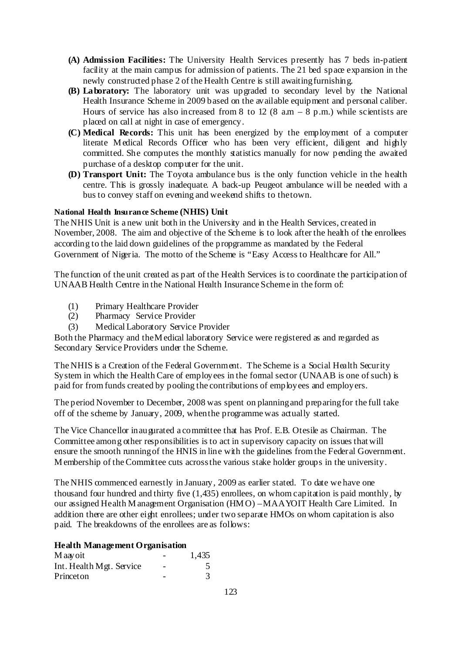- **(A) Admission Facilities:** The University Health Services presently has 7 beds in-patient facility at the main campus for admission of patients. The 21 bed space expansion in the newly constructed phase 2 of the Health Centre is still awaiting furnishing.
- **(B) Laboratory:** The laboratory unit was upgraded to secondary level by the National Health Insurance Scheme in 2009 based on the available equipment and personal caliber. Hours of service has also increased from 8 to 12 (8  $a.m - 8 p.m.$ ) while scientists are placed on call at night in case of emergency.
- **(C) Medical Records:** This unit has been energized by the employment of a computer literate M edical Records Officer who has been very efficient, diligent and highly committed. She computes the monthly statistics manually for now pending the awaited purchase of a desktop computer for the unit.
- **(D) Transport Unit:** The Toyota ambulance bus is the only function vehicle in the health centre. This is grossly inadequate. A back-up Peugeot ambulance will be needed with a bus to convey staff on evening and weekend shifts to the town.

#### **National Health Insurance Scheme (NHIS) Unit**

The NHIS Unit is a new unit both in the University and in the Health Services, created in November, 2008. The aim and objective of the Scheme is to look after the health of the enrollees according to the laid down guidelines of the propgramme as mandated by the Federal Government of Nigeria. The motto of the Scheme is "Easy Access to Healthcare for All."

The function of the unit created as part of the Health Services is to coordinate the participation of UNAAB Health Centre in the National Health Insurance Scheme in the form of:

- (1) Primary Healthcare Provider
- (2) Pharmacy Service Provider
- (3) Medical Laboratory Service Provider

Both the Pharmacy and the M edical laboratory Service were registered as and regarded as Secondary Service Providers under the Scheme.

The NHIS is a Creation of the Federal Government. The Scheme is a Social Health Security System in which the Health Care of employees in the formal sector (UNAAB is one of such) is paid for from funds created by pooling the contributions of employees and employers.

The period November to December, 2008 was spent on planning and preparing for the full take off of the scheme by January, 2009, when the programme was actually started.

The Vice Chancellor inaugurated a committee that has Prof. E.B. Otesile as Chairman. The Committee among other responsibilities is to act in supervisory capacity on issues that will ensure the smooth running of the HNIS in line with the guidelines from the Federal Government. M embership of the Committee cuts across the various stake holder groups in the university.

The NHIS commenced earnestly in January, 2009 as earlier stated. To date we have one thousand four hundred and thirty five (1,435) enrollees, on whom capitation is paid monthly, by our assigned Health M anagement Organisation (HM O) – MAAYOIT Health Care Limited. In addition there are other eight enrollees; under two separate HMOs on whom capitation is also paid. The breakdowns of the enrollees are as follows:

#### **Health Management Organisation**

| M aay oit                |   | 1,435 |
|--------------------------|---|-------|
| Int. Health Mgt. Service | - |       |
| Princeton                |   |       |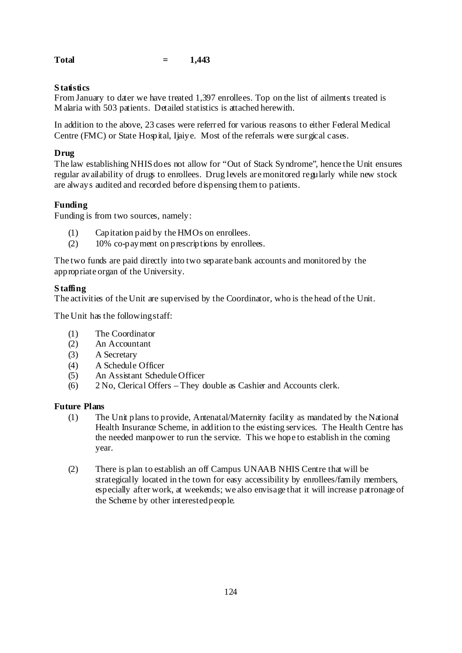| <b>Total</b> |  | 1,443 |
|--------------|--|-------|
|--------------|--|-------|

### **S tatistics**

From January to dater we have treated 1,397 enrollees. Top on the list of ailments treated is M alaria with 503 patients. Detailed statistics is attached herewith.

In addition to the above, 23 cases were referred for various reasons to either Federal Medical Centre (FMC) or State Hospital, Ijaiye. Most of the referrals were surgical cases.

### **Drug**

The law establishing NHIS does not allow for "Out of Stack Syndrome", hence the Unit ensures regular availability of drugs to enrollees. Drug levels are monitored regularly while new stock are always audited and recorded before dispensing them to patients.

### **Funding**

Funding is from two sources, namely:

- (1) Capitation paid by the HMOs on enrollees.
- (2) 10% co-payment on prescriptions by enrollees.

The two funds are paid directly into two separate bank accounts and monitored by the appropriate organ of the University.

### **S taffing**

The activities of the Unit are supervised by the Coordinator, who is the head of the Unit.

The Unit has the following staff:

- (1) The Coordinator
- (2) An Accountant
- (3) A Secretary
- (4) A Schedule Officer
- (5) An Assistant Schedule Officer
- (6) 2 No, Clerical Offers They double as Cashier and Accounts clerk.

### **Future Plans**

- (1) The Unit plans to provide, Antenatal/Maternity facility as mandated by the National Health Insurance Scheme, in addition to the existing services. The Health Centre has the needed manpower to run the service. This we hope to establish in the coming year.
- (2) There is plan to establish an off Campus UNAAB NHIS Centre that will be strategically located in the town for easy accessibility by enrollees/family members, especially after work, at weekends; we also envisage that it will increase patronage of the Scheme by other interested people.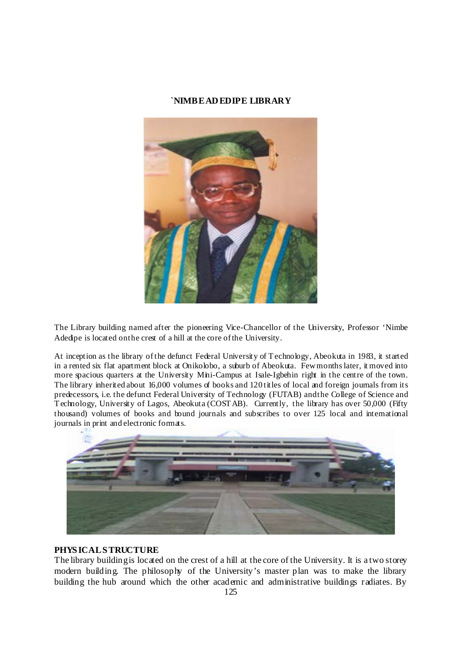#### **`NIMBE AD EDIPE LIBRARY**



The Library building named after the pioneering Vice-Chancellor of the University, Professor 'Nimbe Adedipe is located on the crest of a hill at the core of the University.

At inception as the library of the defunct Federal University of T echnology, Abeokuta in 1983, it started in a rented six flat apartment block at Onikolobo, a suburb of Abeokuta. Few months later, it moved into more spacious quarters at the University Mini-Campus at Isale-Igbehin right in the centre of the town. The library inherited about 16,000 volumes of books and 120 titles of local and foreign journals from its predecessors, i.e. the defunct Federal University of Technology (FUTAB) and the College of Science and T echnology, University of Lagos, Abeokuta (COST AB). Currently, the library has over 50,000 (Fifty thousand) volumes of books and bound journals and subscribes to over 125 local and international journals in print and electronic formats.



#### **PHYS ICAL S TRUCTURE**

The library building is located on the crest of a hill at the core of the University. It is a two storey modern building. The philosophy of the University's master plan was to make the library building the hub around which the other academic and administrative buildings radiates. By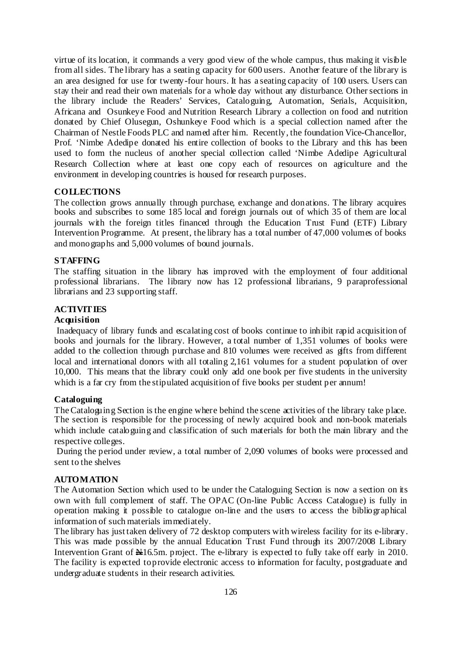virtue of its location, it commands a very good view of the whole campus, thus making it visible from all sides. The library has a seating capacity for 600 users. Another feature of the library is an area designed for use for twenty-four hours. It has a seating capacity of 100 users. Users can stay their and read their own materials for a whole day without any disturbance. Other sections in the library include the Readers' Services, Cataloguing, Automation, Serials, Acquisition, Africana and Osunkeye Food and Nutrition Research Library a collection on food and nutrition donated by Chief Olusegun, Oshunkeye Food which is a special collection named after the Chairman of Nestle Foods PLC and named after him. Recently, the foundation Vice-Chancellor, Prof. 'Nimbe Adedipe donated his entire collection of books to the Library and this has been used to form the nucleus of another special collection called 'Nimbe Adedipe Agricultural Research Collection where at least one copy each of resources on agriculture and the environment in developing countries is housed for research purposes.

#### **COLLECTIONS**

The collection grows annually through purchase, exchange and donations. The library acquires books and subscribes to some 185 local and foreign journals out of which 35 of them are local journals with the foreign titles financed through the Education Trust Fund (ETF) Library Intervention Programme. At present, the library has a total number of 47,000 volumes of books and monographs and 5,000 volumes of bound journals.

#### **S TAFFING**

The staffing situation in the library has improved with the employment of four additional professional librarians. The library now has 12 professional librarians, 9 paraprofessional librarians and 23 supporting staff.

### **ACTIVITIES**

#### **Acquisition**

 Inadequacy of library funds and escalating cost of books continue to inhibit rapid acquisition of books and journals for the library. However, a total number of 1,351 volumes of books were added to the collection through purchase and 810 volumes were received as gifts from different local and international donors with all totaling 2,161 volumes for a student population of over 10,000. This means that the library could only add one book per five students in the university which is a far cry from the stipulated acquisition of five books per student per annum!

#### **Cataloguing**

The Cataloguing Section is the engine where behind the scene activities of the library take place. The section is responsible for the processing of newly acquired book and non-book materials which include cataloguing and classification of such materials for both the main library and the respective colleges.

 During the period under review, a total number of 2,090 volumes of books were processed and sent to the shelves

### **AUTOMATION**

The Automation Section which used to be under the Cataloguing Section is now a section on its own with full complement of staff. The OPAC (On-line Public Access Catalogue) is fully in operation making it possible to catalogue on-line and the users to access the bibliographical information of such materials immediately.

The library has just taken delivery of 72 desktop computers with wireless facility for its e-library. This was made possible by the annual Education Trust Fund through its 2007/2008 Library Intervention Grant of  $\frac{1}{2}$ 16.5m. project. The e-library is expected to fully take off early in 2010. The facility is expected to provide electronic access to information for faculty, postgraduate and undergraduate students in their research activities.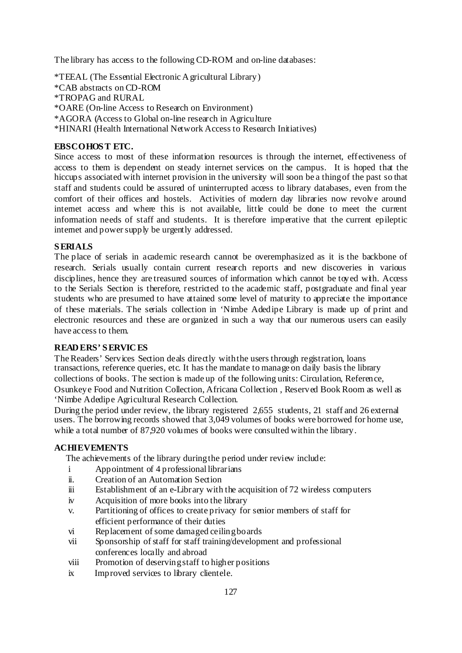The library has access to the following CD-ROM and on-line databases:

\*TEEAL (The Essential Electronic A gricultural Library) \*CAB abstracts on CD-ROM \*TROPAG and RURAL \*OARE (On-line Access to Research on Environment) \*AGORA (Access to Global on-line research in Agriculture \*HINARI (Health International Network Access to Research Initiatives)

#### **EBSCOHOS T ETC.**

Since access to most of these information resources is through the internet, effectiveness of access to them is dependent on steady internet services on the campus. It is hoped that the hiccups associated with internet provision in the university will soon be a thing of the past so that staff and students could be assured of uninterrupted access to library databases, even from the comfort of their offices and hostels. Activities of modern day libraries now revolve around internet access and where this is not available. little could be done to meet the current information needs of staff and students. It is therefore imperative that the current epileptic internet and power supply be urgently addressed.

#### **S ERIALS**

The place of serials in academic research cannot be overemphasized as it is the backbone of research. Serials usually contain current research reports and new discoveries in various disciplines, hence they are treasured sources of information which cannot be toyed with. Access to the Serials Section is therefore, restricted to the academic staff, postgraduate and final year students who are presumed to have attained some level of maturity to appreciate the importance of these materials. The serials collection in 'Nimbe Adedipe Library is made up of print and electronic resources and these are organized in such a way that our numerous users can easily have access to them.

#### **READ ERS' S ERVIC ES**

The Readers' Services Section deals directly with the users through registration, loans transactions, reference queries, etc. It has the mandate to manage on daily basis the library collections of books. The section is made up of the following units: Circulation, Reference, Osunkeye Food and Nutrition Collection, Africana Collection , Reserved Book Room as well as 'Nimbe Adedipe Agricultural Research Collection.

During the period under review, the library registered 2,655 students, 21 staff and 26 external users. The borrowing records showed that 3,049 volumes of books were borrowed for home use, while a total number of 87,920 volumes of books were consulted within the library.

#### **ACHIEVEMENTS**

The achievements of the library during the period under review include:

- i Appointment of 4 professional librarians
- ii. Creation of an Automation Section
- iii Establishment of an e-Library with the acquisition of 72 wireless computers
- iv Acquisition of more books into the library
- v. Partitioning of offices to create privacy for senior members of staff for efficient performance of their duties
- vi Replacement of some damaged ceiling boards
- vii Sponsorship of staff for staff training/development and professional conferences locally and abroad
- viii Promotion of deserving staff to higher positions
- ix Improved services to library clientele.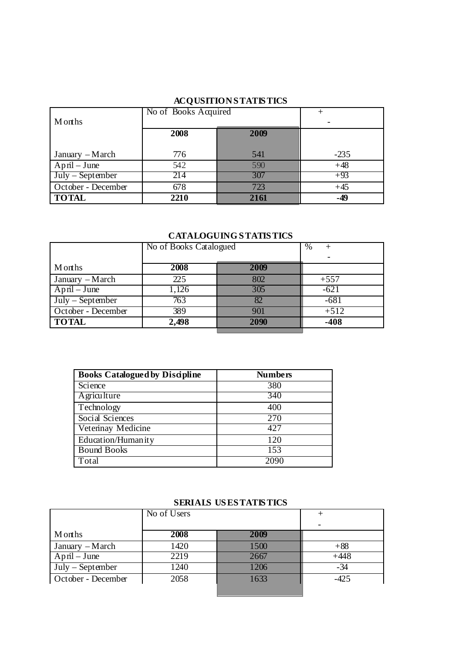# **ACQUSITION S TATIS TICS**

|                    | No of Books Acquired |      |        |
|--------------------|----------------------|------|--------|
| <b>M</b> onths     |                      |      |        |
|                    | 2008                 | 2009 |        |
|                    |                      |      |        |
| January – March    | 776                  | 541  | $-235$ |
| $April - June$     | 542                  | 590  | $+48$  |
| $July - September$ | 214                  | 307  | $+93$  |
| October - December | 678                  | 723  | $+45$  |
| <b>TOTAL</b>       | 2210                 | 2161 | $-49$  |

# **CATALOGUING S TATIS TICS**

|                    | No of Books Catalogued |      | $\%$   |
|--------------------|------------------------|------|--------|
| Months             | 2008                   | 2009 |        |
|                    |                        |      |        |
| January – March    | 225                    | 802  | $+557$ |
| $April$ – June     | 1,126                  | 305  | $-621$ |
| $July - September$ | 763                    | 82   | $-681$ |
| October - December | 389                    | 901  | $+512$ |
| <b>TOTAL</b>       | 2,498                  | 2090 | $-408$ |
|                    |                        |      |        |

| <b>Books Catalogued by Discipline</b> | <b>Numbers</b> |
|---------------------------------------|----------------|
| Science                               | 380            |
| Agriculture                           | 340            |
| Technology                            | 400            |
| Social Sciences                       | 270            |
| Veterinay Medicine                    | 427            |
| Education/Humanity                    | 120            |
| <b>Bound Books</b>                    | 153            |
| Total                                 | 2090           |

# **SERIALS US ESTATISTICS**

|                    | No of Users |      |                          |
|--------------------|-------------|------|--------------------------|
|                    |             |      | $\overline{\phantom{0}}$ |
| <b>M</b> onths     | 2008        | 2009 |                          |
| January – March    | 1420        | 1500 | $+88$                    |
| $April - June$     | 2219        | 2667 | $+448$                   |
| $July - September$ | 1240        | 1206 | $-34$                    |
| October - December | 2058        | 1633 | $-425$                   |
|                    |             |      |                          |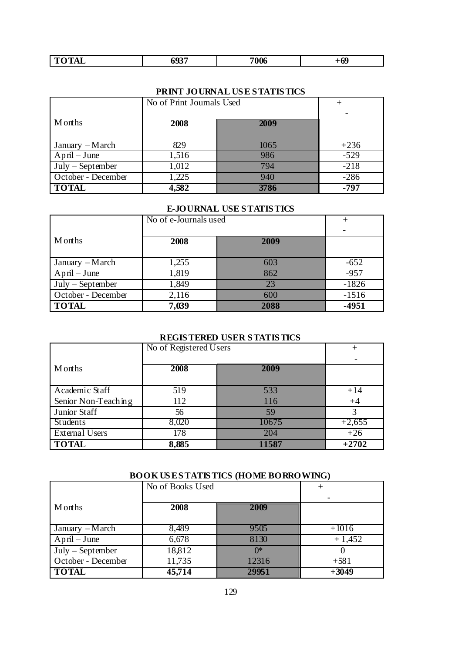| 2.73347<br>m.<br>- 70<br>-----<br>~ | 693<br>JJJ | 7006 | $+69$ |
|-------------------------------------|------------|------|-------|

# **PRINT JOURNAL US E S TATIS TICS**

|                    | No of Print Journals Used |      |        |
|--------------------|---------------------------|------|--------|
|                    |                           |      |        |
| Months             | 2008                      | 2009 |        |
|                    |                           |      |        |
| January $-March$   | 829                       | 1065 | $+236$ |
| $April - June$     | 1,516                     | 986  | $-529$ |
| $July - September$ | 1,012                     | 794  | $-218$ |
| October - December | 1,225                     | 940  | $-286$ |
| <b>TOTAL</b>       | 4,582                     | 3786 | -797   |

### **E-JOURNAL USE S TATIS TICS**

|                    | No of e-Journals used |      |         |
|--------------------|-----------------------|------|---------|
|                    |                       |      |         |
| Months             | 2008                  | 2009 |         |
|                    |                       |      |         |
| January – March    | 1,255                 | 603  | $-652$  |
| $April - June$     | 1,819                 | 862  | $-957$  |
| $July - September$ | 1,849                 | 23   | $-1826$ |
| October - December | 2,116                 | 600  | $-1516$ |
| <b>TOTAL</b>       | 7,039                 | 2088 | $-4951$ |

# **REGIS TERED USER S TATIS TICS**

|                       | No of Registered Users |       | $^+$     |
|-----------------------|------------------------|-------|----------|
|                       |                        |       |          |
| Months                | 2008                   | 2009  |          |
|                       |                        |       |          |
| Academic Staff        | 519                    | 533   | $+14$    |
| Senior Non-Teaching   | 112                    | 116   | $+4$     |
| Junior Staff          | 56                     | 59    |          |
| Students              | 8,020                  | 10675 | $+2,655$ |
| <b>External Users</b> | 178                    | 204   | $+26$    |
| <b>TOTAL</b>          | 8,885                  | 11587 | $+2702$  |

# **BOOK US E S TATIS TICS (HOME BORROWING)**

|                    | No of Books Used |       |          |
|--------------------|------------------|-------|----------|
|                    |                  |       |          |
| Months             | 2008             | 2009  |          |
|                    |                  |       |          |
| $January - March$  | 8,489            | 9505  | $+1016$  |
| $April - June$     | 6,678            | 8130  | $+1,452$ |
| $July - September$ | 18,812           | $0^*$ |          |
| October - December | 11,735           | 12316 | $+581$   |
| <b>TOTAL</b>       | 45,714           | 29951 | $+3049$  |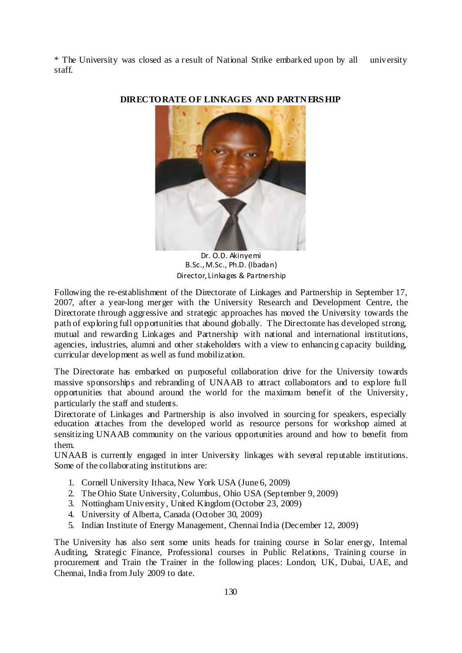\* The University was closed as a result of National Strike embarked upon by all university staff.



**DIRECTORATE OF LINKAGES AND PARTN ERS HIP** 

Dr. O.D. Akinyemi B.Sc.,M.Sc., Ph.D. (Ibadan) Director, Linkages & Partnership

Following the re-establishment of the Directorate of Linkages and Partnership in September 17, 2007, after a year-long merger with the University Research and Development Centre, the Directorate through aggressive and strategic approaches has moved the University towards the path of exploring full opportunities that abound globally. The Directorate has developed strong, mutual and rewarding Linkages and Partnership with national and international institutions, agencies, industries, alumni and other stakeholders with a view to enhancing capacity building, curricular development as well as fund mobilization.

The Directorate has embarked on purposeful collaboration drive for the University towards massive sponsorships and rebranding of UNAAB to attract collaborators and to explore full opportunities that abound around the world for the maximum benefit of the University, particularly the staff and students.

Directorate of Linkages and Partnership is also involved in sourcing for speakers, especially education attaches from the developed world as resource persons for workshop aimed at sensitizing UNAAB community on the various opportunities around and how to benefit from them.

UNAAB is currently engaged in inter University linkages with several reputable institutions. Some of the collaborating institutions are:

- 1. Cornell University Ithaca, New York USA (June 6, 2009)
- 2. The Ohio State University, Columbus, Ohio USA (September 9, 2009)
- 3. Nottingham University, United Kingdom (October 23, 2009)
- 4. University of Alberta, Canada (October 30, 2009)
- 5. Indian Institute of Energy Management, Chennai India (December 12, 2009)

The University has also sent some units heads for training course in Solar energy, Internal Auditing, Strategic Finance, Professional courses in Public Relations, Training course in procurement and Train the Trainer in the following places: London, UK, Dubai, UAE, and Chennai, India from July 2009 to date.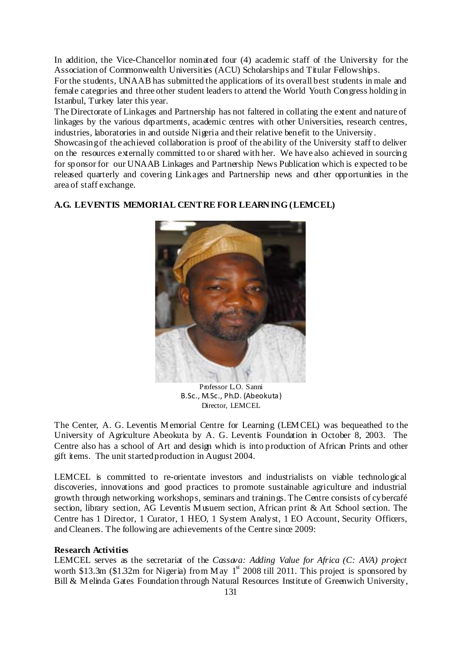In addition, the Vice-Chancellor nominated four (4) academic staff of the University for the Association of Commonwealth Universities (ACU) Scholarships and Titular Fellowships.

For the students, UNAAB has submitted the applications of its overall best students in male and female categories and three other student leaders to attend the World Youth Congress holding in Istanbul, Turkey later this year.

The Directorate of Linkages and Partnership has not faltered in collating the extent and nature of linkages by the various departments, academic centres with other Universities, research centres, industries, laboratories in and outside Nigeria and their relative benefit to the University.

Showcasing of the achieved collaboration is proof of the ability of the University staff to deliver on the resources externally committed to or shared with her. We have also achieved in sourcing for sponsor for our UNAAB Linkages and Partnership News Publication which is expected to be released quarterly and covering Linkages and Partnership news and other opportunities in the area of staff exchange.

#### **A.G. LEVENTIS MEMORIAL CENTRE FOR LEARN ING (LEMCEL)**



Professor L.O. Sanni B.Sc., M.Sc., Ph.D. (Abeokuta ) Director, LEMCEL

The Center, A. G. Leventis Memorial Centre for Learning (LEMCEL) was bequeathed to the University of Agriculture Abeokuta by A. G. Leventis Foundation in October 8, 2003. The Centre also has a school of Art and design which is into production of African Prints and other gift items. The unit started production in August 2004.

LEMCEL is committed to re-orientate investors and industrialists on viable technological discoveries, innovations and good practices to promote sustainable agriculture and industrial growth through networking, workshops, seminars and trainings. The Centre consists of cybercafé section, library section, AG Leventis M usuem section, African print & Art School section. The Centre has 1 Director, 1 Curator, 1 HEO, 1 System Analyst, 1 EO Account, Security Officers, and Cleaners. The following are achievements of the Centre since 2009:

#### **Research Activities**

LEMCEL serves as the secretariat of the *Cassava: Adding Value for Africa (C: AVA) project* worth \$13.3m (\$1.32m for Nigeria) from M ay  $1^{st}$  2008 till 2011. This project is sponsored by Bill & Melinda Gates Foundation through Natural Resources Institute of Greenwich University,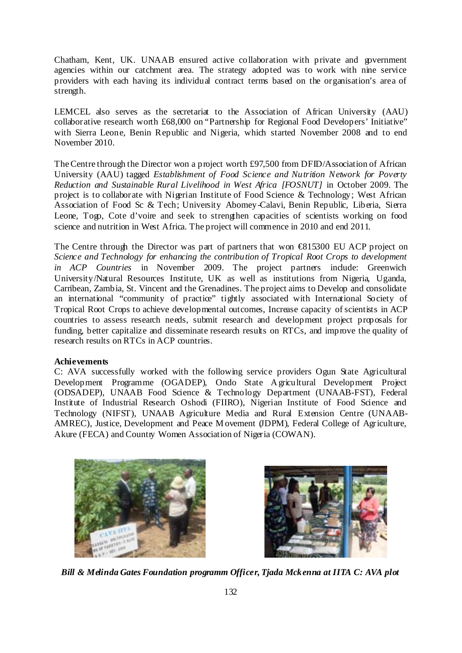Chatham, Kent, UK. UNAAB ensured active collaboration with private and government agencies within our catchment area. The strategy adopted was to work with nine service providers with each having its individual contract terms based on the organisation's area of strength.

LEMCEL also serves as the secretariat to the Association of African University (AAU) collaborative research worth £68,000 on "Partnership for Regional Food Developers' Initiative" with Sierra Leone, Benin Republic and Nigeria, which started November 2008 and to end November 2010.

The Centre through the Director won a project worth £97,500 from DFID/Association of African University (AAU) tagged *Establishment of Food Science and Nutrition Network for Poverty Reduction and Sustainable Rural Livelihood in West Africa [FOSNUT]* in October 2009. The project is to collaborate with Nigerian Institute of Food Science & Technology; West African Association of Food Sc & Tech; University Abomey-Calavi, Benin Republic, Liberia, Sierra Leone, Togo, Cote d'voire and seek to strengthen capacities of scientists working on food science and nutrition in West Africa. The project will commence in 2010 and end 2011.

The Centre through the Director was part of partners that won €815300 EU ACP project on *Science and Technology for enhancing the contribution of Tropical Root Crops to development in ACP Countries* in November 2009. The project partners include: Greenwich University/Natural Resources Institute, UK as well as institutions from Nigeria, Uganda, Carribean, Zambia, St. Vincent and the Grenadines. The project aims to Develop and consolidate an international "community of practice" tightly associated with International Society of Tropical Root Crops to achieve developmental outcomes, Increase capacity of scientists in ACP countries to assess research needs, submit research and development project proposals for funding, better capitalize and disseminate research results on RTCs, and improve the quality of research results on RTCs in ACP countries.

#### **Achievements**

C: AVA successfully worked with the following service providers Ogun State Agricultural Development Programme (OGADEP), Ondo State A gricultural Development Project (ODSADEP), UNAAB Food Science & Technology Department (UNAAB-FST), Federal Institute of Industrial Research Oshodi (FIIRO), Nigerian Institute of Food Science and Technology (NIFST), UNAAB Agriculture Media and Rural Extension Centre (UNAAB-AMREC), Justice, Development and Peace M ovement (JDPM), Federal College of Agriculture, Akure (FECA) and Country Women Association of Nigeria (COWAN).





*Bill & Melinda Gates Foundation programm Officer, Tjada Mckenna at IITA C: AVA plot*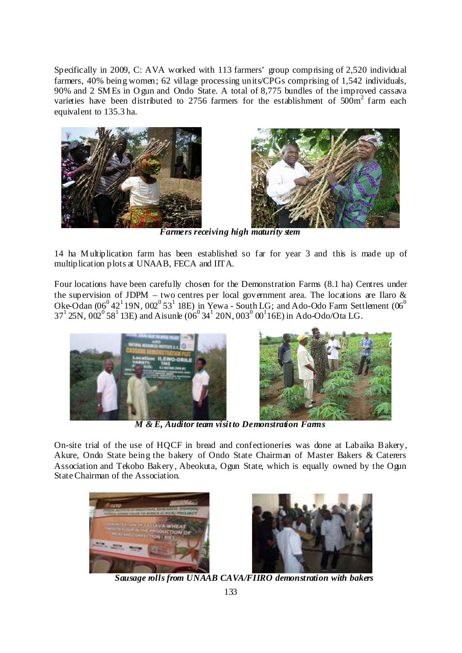Specifically in 2009, C: AVA worked with 113 farmers' group comprising of 2,520 individual farmers, 40% being women; 62 village processing units/CPGs comprising of 1,542 individuals, 90% and 2 SM Es in O gun and Ondo State. A total of 8,775 bundles of the improved cassava varieties have been distributed to 2756 farmers for the establishment of  $500\text{m}^2$  farm each equivalent to 135.3 ha.





*Farmers receiving high maturity stem* 

14 ha M ultiplication farm has been established so far for year 3 and this is made up of multiplication plots at UNAAB, FECA and IITA.

Four locations have been carefully chosen for the Demonstration Farms (8.1 ha) Centres under the supervision of JDPM – two centres per local government area. The locations are Ilaro  $\&$ Oke-Odan  $(0.6^0 42^1 19N, 0.02^0 53^1 18E)$  in Yewa - South LG; and Ado-Odo Farm Settlement  $(0.6^0 62^1 19N, 0.02^0 53^1 18E)$  $37^1$  25N,  $002^0$  58<sup>1</sup> 13E) and Aisunle  $0.06^0$  34<sup>1</sup> 20N,  $0.03^0$   $0.01^1$  16E) in Ado-Odo/Ota LG.





*M & E, Auditor team visit to Demonstration Farms* 

On-site trial of the use of HQCF in bread and confectioneries was done at Labaika Bakery, Akure, Ondo State being the bakery of Ondo State Chairman of Master Bakers & Caterers Association and Tekobo Bakery, Abeokuta, Ogun State, which is equally owned by the Ogun State Chairman of the Association.





*Sausage rolls from UNAAB CAVA/FIIRO demonstration with bakers*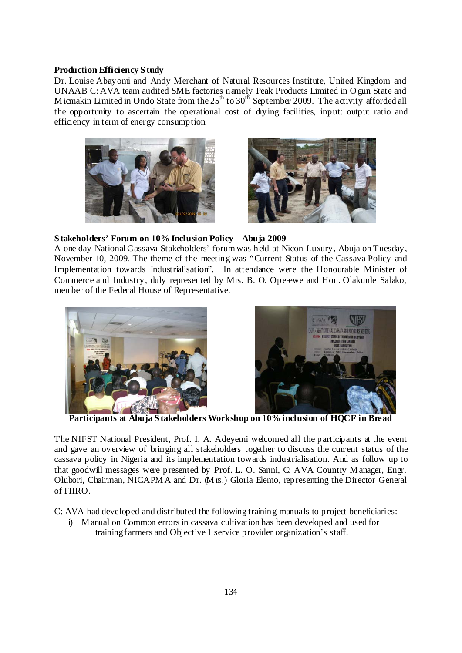#### **Production Efficiency S tudy**

Dr. Louise Abayomi and Andy Merchant of Natural Resources Institute, United Kingdom and UNAAB C: AVA team audited SME factories namely Peak Products Limited in O gun State and M icmakin Limited in Ondo State from the  $25<sup>th</sup>$  to  $30<sup>th</sup>$  September 2009. The activity afforded all the opportunity to ascertain the operational cost of drying facilities, input: output ratio and efficiency in term of energy consumption.





#### **S takeholders' Forum on 10% Inclusion Policy – Abuja 2009**

A one day National Cassava Stakeholders' forum was held at Nicon Luxury, Abuja on Tuesday, November 10, 2009. The theme of the meeting was "Current Status of the Cassava Policy and Implementation towards Industrialisation". In attendance were the Honourable Minister of Commerce and Industry, duly represented by Mrs. B. O. Ope-ewe and Hon. Olakunle Salako, member of the Federal House of Representative.





**Participants at Abuja S takeholders Workshop on 10% inclusion of HQCF in Bread** 

The NIFST National President, Prof. I. A. Adeyemi welcomed all the participants at the event and gave an overview of bringing all stakeholders together to discuss the current status of the cassava policy in Nigeria and its implementation towards industrialisation. And as follow up to that goodwill messages were presented by Prof. L. O. Sanni, C: AVA Country M anager, Engr. Olubori, Chairman, NICAPM A and Dr. (M rs.) Gloria Elemo, representing the Director General of FIIRO.

C: AVA had developed and distributed the following training manuals to project beneficiaries:

i) M anual on Common errors in cassava cultivation has been developed and used for training farmers and Objective 1 service provider organization's staff.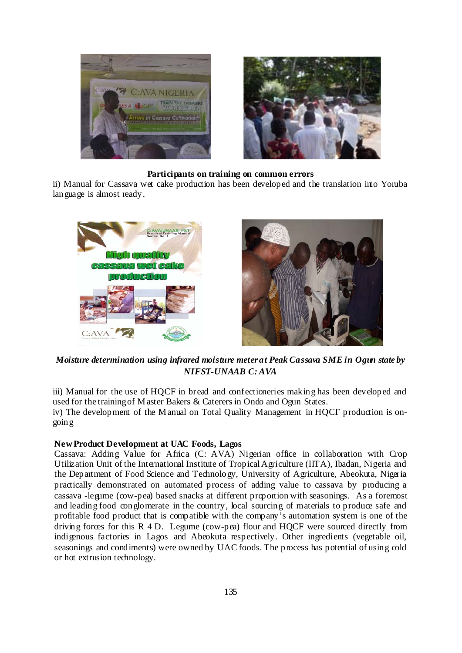

#### **Participants on training on common errors**

ii) Manual for Cassava wet cake production has been developed and the translation into Yoruba language is almost ready.



*Moisture determination using infrared moisture meter at Peak Cassava SME in Ogun state by NIFST-UNAAB C: AVA* 

iii) Manual for the use of HQCF in bread and confectioneries making has been developed and used for the training of M aster Bakers & Caterers in Ondo and Ogun States. iv) The development of the M anual on Total Quality Management in HQCF production is ongoing

#### **New Product Development at UAC Foods, Lagos**

Cassava: Adding Value for Africa (C: AVA) Nigerian office in collaboration with Crop Utilization Unit of the International Institute of Tropical Agriculture (IITA), Ibadan, Nigeria and the Department of Food Science and Technology, University of Agriculture, Abeokuta, Nigeria practically demonstrated on automated process of adding value to cassava by producing a cassava -legume (cow-pea) based snacks at different proportion with seasonings. As a foremost and leading food conglomerate in the country, local sourcing of materials to produce safe and profitable food product that is compatible with the company's automation system is one of the driving forces for this R 4 D. Legume (cow-pea) flour and HQCF were sourced directly from indigenous factories in Lagos and Abeokuta respectively. Other ingredients (vegetable oil, seasonings and condiments) were owned by UAC foods. The process has potential of using cold or hot extrusion technology.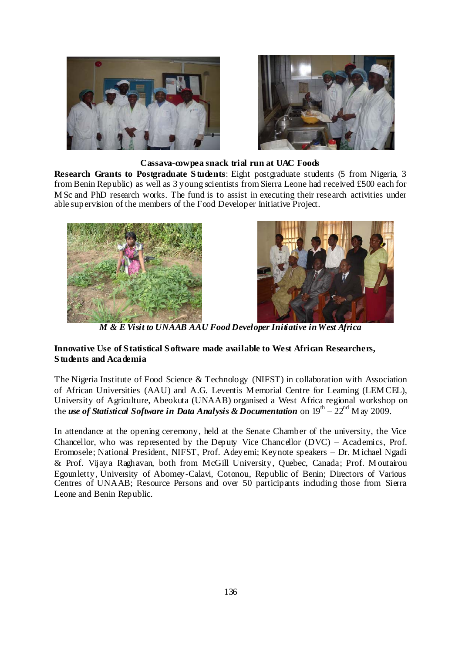



#### **Cassava-cowpea snack trial run at UAC Foods**

**Research Grants to Postgraduate S tudents**: Eight postgraduate students (5 from Nigeria, 3 from Benin Republic) as well as 3 young scientists from Sierra Leone had received £500 each for M Sc and PhD research works. The fund is to assist in executing their research activities under able supervision of the members of the Food Developer Initiative Project.





*M & E Visit to UNAAB AAU Food Developer Initiative in West Africa* 

### **Innovative Use of S tatistical S oftware made available to West African Researchers, S tudents and Academia**

The Nigeria Institute of Food Science & Technology (NIFST) in collaboration with Association of African Universities (AAU) and A.G. Leventis M emorial Centre for Learning (LEM CEL), University of Agriculture, Abeokuta (UNAAB) organised a West Africa regional workshop on the *use of Statistical Software in Data Analysis & Documentation* on  $19^{th} - 22^{nd}$  M ay 2009.

In attendance at the opening ceremony, held at the Senate Chamber of the university, the Vice Chancellor, who was represented by the Deputy Vice Chancellor (DVC) – Academics, Prof. Eromosele; National President, NIFST, Prof. Adeyemi; Keynote speakers – Dr. M ichael Ngadi & Prof. Vijaya Raghavan, both from McGill University, Quebec, Canada; Prof. M outairou Egounletty, University of Abomey-Calavi, Cotonou, Republic of Benin; Directors of Various Centres of UNAAB; Resource Persons and over 50 participants including those from Sierra Leone and Benin Republic.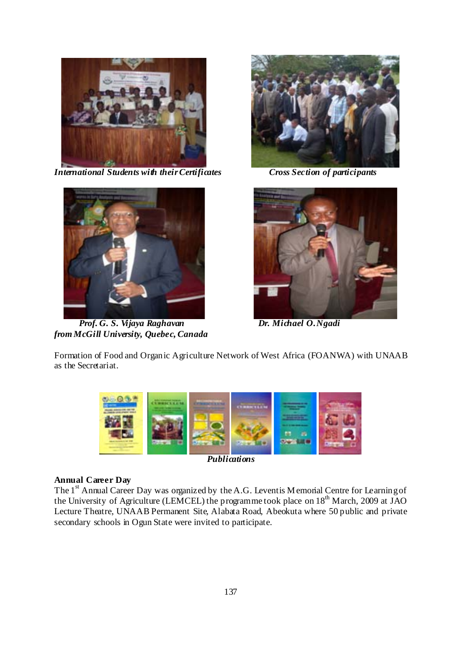

*International Students with their Certificates Cross Section of participants* 



 *Prof. G. S. Vijaya Raghavan Dr. Michael O. Ngadi from McGill University, Quebec, Canada* 





Formation of Food and Organic Agriculture Network of West Africa (FOANWA) with UNAAB as the Secretariat.



*Publications* 

# **Annual Career Day**

The  $1<sup>st</sup>$  Annual Career Day was organized by the A.G. Leventis M emorial Centre for Learning of the University of Agriculture (LEMCEL) the programme took place on 18<sup>th</sup> March, 2009 at JAO Lecture Theatre, UNAAB Permanent Site, Alabata Road, Abeokuta where 50 public and private secondary schools in Ogun State were invited to participate.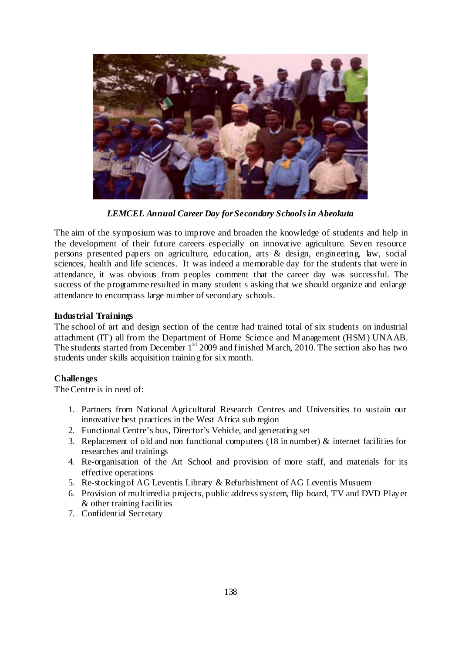

*LEMCEL Annual Career Day for Secondary Schools in Abeokuta* 

The aim of the symposium was to improve and broaden the knowledge of students and help in the development of their future careers especially on innovative agriculture. Seven resource persons presented papers on agriculture, education, arts & design, engineering, law, social sciences, health and life sciences. It was indeed a memorable day for the students that were in attendance, it was obvious from peoples comment that the career day was successful. The success of the programme resulted in many student s asking that we should organize and enlarge attendance to encompass large number of secondary schools.

### **Industrial Trainings**

The school of art and design section of the centre had trained total of six students on industrial attachment (IT) all from the Department of Home Science and M anagement (HSM ) UNAAB. The students started from December  $1<sup>st</sup> 2009$  and finished M arch, 2010. The section also has two students under skills acquisition training for six month.

### **Challenges**

The Centre is in need of:

- 1. Partners from National Agricultural Research Centres and Universities to sustain our innovative best practices in the West Africa sub region
- 2. Functional Centre's bus, Director's Vehicle, and generating set
- 3. Replacement of old and non functional computers (18 in number)  $\&$  internet facilities for researches and trainings
- 4. Re-organisation of the Art School and provision of more staff, and materials for its effective operations
- 5. Re-stocking of AG Leventis Library & Refurbishment of AG Leventis Musuem
- 6. Provision of multimedia projects, public address system, flip board, TV and DVD Player & other training facilities
- 7. Confidential Secretary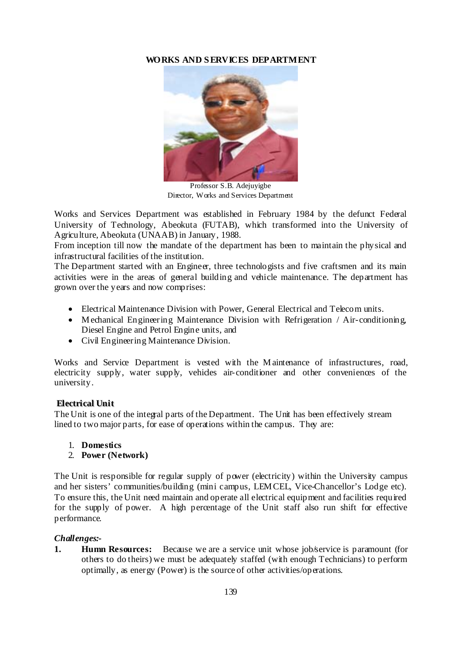### **WORKS AND S ERVICES DEPARTMENT**



Professor S.B. Adejuyigbe Director, Works and Services Department

Works and Services Department was established in February 1984 by the defunct Federal University of Technology, Abeokuta (FUTAB), which transformed into the University of Agriculture, Abeokuta (UNAAB) in January, 1988.

From inception till now the mandate of the department has been to maintain the physical and infrastructural facilities of the institution.

The Department started with an Engineer, three technologists and five craftsmen and its main activities were in the areas of general building and vehicle maintenance. The department has grown over the years and now comprises:

- Electrical Maintenance Division with Power, General Electrical and Telecom units.
- Mechanical Engineering Maintenance Division with Refrigeration / Air-conditioning, Diesel Engine and Petrol Engine units, and
- Civil Engineering Maintenance Division.

Works and Service Department is vested with the M aintenance of infrastructures, road, electricity supply, water supply, vehicles air-conditioner and other conveniences of the university.

### **Electrical Unit**

The Unit is one of the integral parts of the Department. The Unit has been effectively stream lined to two major parts, for ease of operations within the campus. They are:

- 1. **Domestics**
- 2. **Power (Network)**

The Unit is responsible for regular supply of power (electricity) within the University campus and her sisters' communities/building (mini campus, LEM CEL, Vice-Chancellor's Lodge etc). To ensure this, the Unit need maintain and operate all electrical equipment and facilities required for the supply of power. A high percentage of the Unit staff also run shift for effective performance.

### *Challenges:-*

**1. Humn Resources:** Because we are a service unit whose job/service is paramount (for others to do theirs) we must be adequately staffed (with enough Technicians) to perform optimally, as energy (Power) is the source of other activities/operations.